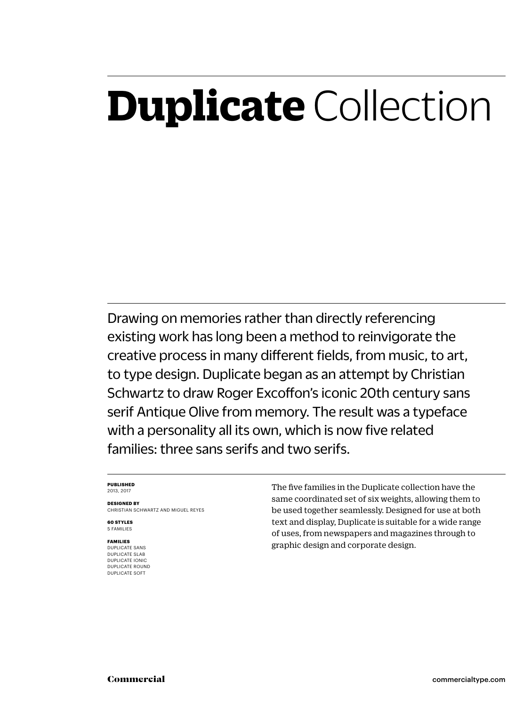### **Duplicate** Collection

Drawing on memories rather than directly referencing existing work has long been a method to reinvigorate the creative process in many different fields, from music, to art, to type design. Duplicate began as an attempt by Christian Schwartz to draw Roger Excoffon's iconic 20th century sans serif Antique Olive from memory. The result was a typeface with a personality all its own, which is now five related families: three sans serifs and two serifs.

### **PUBLISHED** 2013, 2017

**DESIGNED BY** CHRISTIAN SCHWARTZ AND MIGUEL REYES

**60 STYLES** 5 FAMILIES

### **FAMILIES**

DUPLICATE SANS DUPLICATE SLAB DUPLICATE IONIC DUPLICATE ROUND DUPLICATE SOFT

The five families in the Duplicate collection have the same coordinated set of six weights, allowing them to be used together seamlessly. Designed for use at both text and display, Duplicate is suitable for a wide range of uses, from newspapers and magazines through to graphic design and corporate design.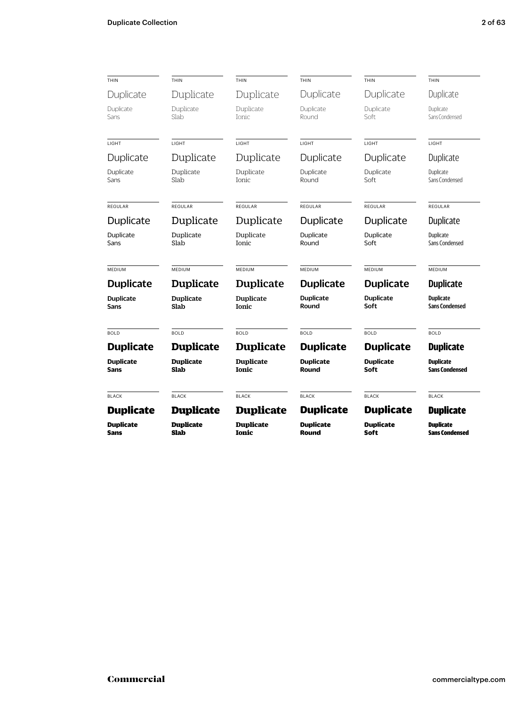| THIN                     | THIN                     | THIN                             | THIN                      | THIN                     | THIN                                      |
|--------------------------|--------------------------|----------------------------------|---------------------------|--------------------------|-------------------------------------------|
| Duplicate                | Duplicate                | Duplicate                        | Duplicate                 | Duplicate                | Duplicate                                 |
| Duplicate<br>Sans        | Duplicate<br>Slab        | Duplicate<br>Ionic               | Duplicate<br>Round        | Duplicate<br>Soft        | Duplicate<br>Sans Condensed               |
| LIGHT                    | LIGHT                    | LIGHT                            | LIGHT                     | LIGHT                    | LIGHT                                     |
| Duplicate                | Duplicate                | Duplicate                        | Duplicate                 | Duplicate                | Duplicate                                 |
| Duplicate<br>Sans        | Duplicate<br>Slab        | Duplicate<br>Ionic               | Duplicate<br>Round        | Duplicate<br>Soft        | Duplicate<br>Sans Condensed               |
| <b>REGULAR</b>           | REGULAR                  | REGULAR                          | REGULAR                   | <b>REGULAR</b>           | REGULAR                                   |
| Duplicate                | Duplicate                | Duplicate                        | Duplicate                 | Duplicate                | Duplicate                                 |
| Duplicate<br>Sans        | Duplicate<br>Slab        | Duplicate<br><b>Ionic</b>        | Duplicate<br>Round        | Duplicate<br>Soft        | Duplicate<br>Sans Condensed               |
| <b>MEDIUM</b>            | MEDIUM                   | <b>MEDIUM</b>                    | MEDIUM                    | MEDIUM                   | MEDIUM                                    |
| <b>Duplicate</b>         | <b>Duplicate</b>         | <b>Duplicate</b>                 | <b>Duplicate</b>          | <b>Duplicate</b>         | <b>Duplicate</b>                          |
| <b>Duplicate</b><br>Sans | <b>Duplicate</b><br>Slab | <b>Duplicate</b><br>Ionic        | <b>Duplicate</b><br>Round | <b>Duplicate</b><br>Soft | <b>Duplicate</b><br><b>Sans Condensed</b> |
| <b>BOLD</b>              | <b>BOLD</b>              | <b>BOLD</b>                      | <b>BOLD</b>               | <b>BOLD</b>              | <b>BOLD</b>                               |
| <b>Duplicate</b>         | <b>Duplicate</b>         | <b>Duplicate</b>                 | <b>Duplicate</b>          | <b>Duplicate</b>         | <b>Duplicate</b>                          |
| <b>Duplicate</b><br>Sans | <b>Duplicate</b><br>Slab | <b>Duplicate</b><br><b>Ionic</b> | <b>Duplicate</b><br>Round | <b>Duplicate</b><br>Soft | <b>Duplicate</b><br><b>Sans Condensed</b> |
| <b>BLACK</b>             | <b>BLACK</b>             | <b>BLACK</b>                     | <b>BLACK</b>              | <b>BLACK</b>             | <b>BLACK</b>                              |
| <b>Duplicate</b>         | <b>Duplicate</b>         | <b>Duplicate</b>                 | <b>Duplicate</b>          | <b>Duplicate</b>         | <b>Duplicate</b>                          |
| <b>Duplicate</b><br>Sans | <b>Duplicate</b><br>Slab | <b>Duplicate</b><br><b>Ionic</b> | Duplicate<br>Round        | <b>Duplicate</b><br>Soft | <b>Duplicate</b><br><b>Sans Condensed</b> |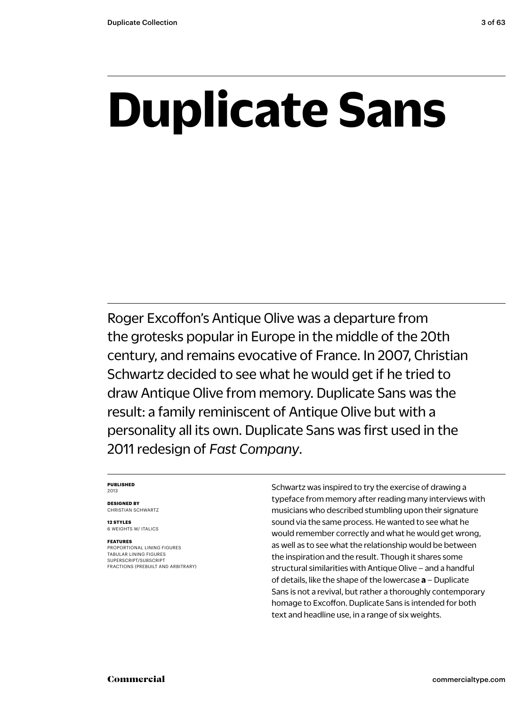## **Duplicate Sans**

Roger Excoffon's Antique Olive was a departure from the grotesks popular in Europe in the middle of the 20th century, and remains evocative of France. In 2007, Christian Schwartz decided to see what he would get if he tried to draw Antique Olive from memory. Duplicate Sans was the result: a family reminiscent of Antique Olive but with a personality all its own. Duplicate Sans was first used in the 2011 redesign of *Fast Company*.

### **PUBLISHED** 2013

**DESIGNED BY** CHRISTIAN SCHWARTZ

**12 STYLES** 6 WEIGHTS W/ ITALICS

### **FEATURES**

PROPORTIONAL LINING FIGURES TABULAR LINING FIGURES SUPERSCRIPT/SUBSCRIPT FRACTIONS (PREBUILT AND ARBITRARY) Schwartz was inspired to try the exercise of drawing a typeface from memory after reading many interviews with musicians who described stumbling upon their signature sound via the same process. He wanted to see what he would remember correctly and what he would get wrong, as well as to see what the relationship would be between the inspiration and the result. Though it shares some structural similarities with Antique Olive – and a handful of details, like the shape of the lowercase **a** – Duplicate Sans is not a revival, but rather a thoroughly contemporary homage to Excoffon. Duplicate Sans is intended for both text and headline use, in a range of six weights.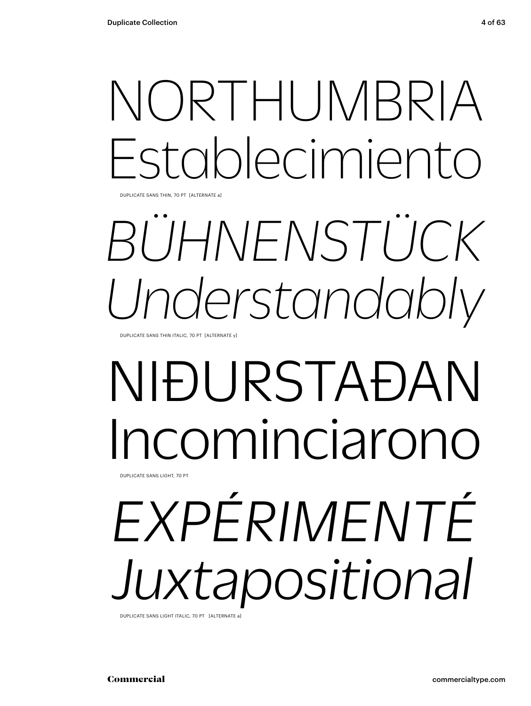## NORTHUMBRIA Establecimiento

DUPLICATE SANS THIN, 70 PT [ALTERNATE a]

## *BÜHNENSTÜCK Understandably*

DUPLICATE SANS THIN ITALIC, 70 PT [ALTERNATE y]

### NIÐURSTAÐAN cominciarono DUPLICATE SANS LIGHT, 70 PT

# *EXPÉRIMENTÉ Juxtapositional*

DUPLICATE SANS LIGHT ITALIC, 70 PT [ALTERNATE a]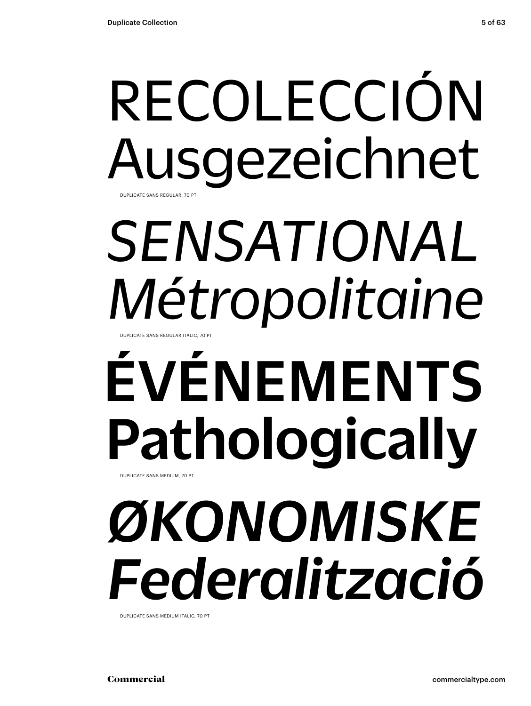### RECOLECCIÓN Ausgezeichnet DUPLICATE SANS REGULAR, 70 PT

### *SENSATIONAL Métropolitaine* UPLICATE SANS REGULAR ITALIC, 70 PT

### ÉVÉNEMENTS Pathologically DUPLICATE SANS MEDIUM, 70 PT

# *ØKONOMISKE Federalització*

DUPLICATE SANS MEDIUM ITALIC, 70 PT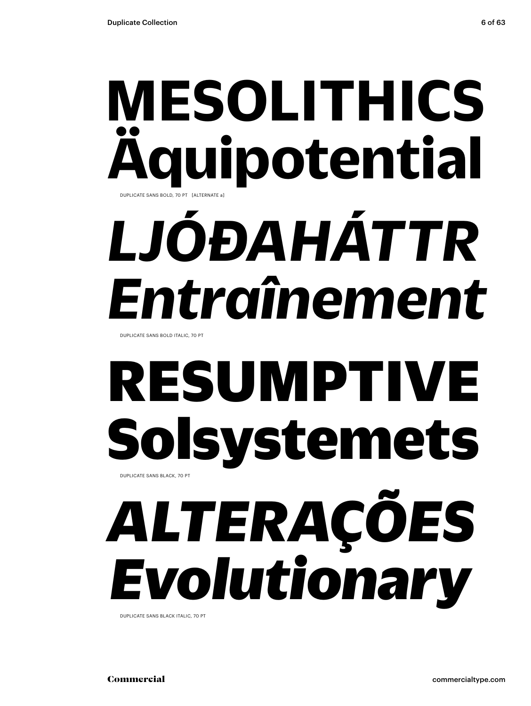### **MESOLITHICS Äquipotential** DUPLICATE SANS BOLD, 70 PT [ALTERNATE a]

# *LJÓÐAHÁTTR Entraînement*

DUPLICATE SANS BOLD ITALIC, 70 PT

### RESUMPTIVE Solsystemets DUPLICATE SANS BLACK, 70 PT

# *ALTERAÇÕES Evolutionary*

DUPLICATE SANS BLACK ITALIC, 70 PT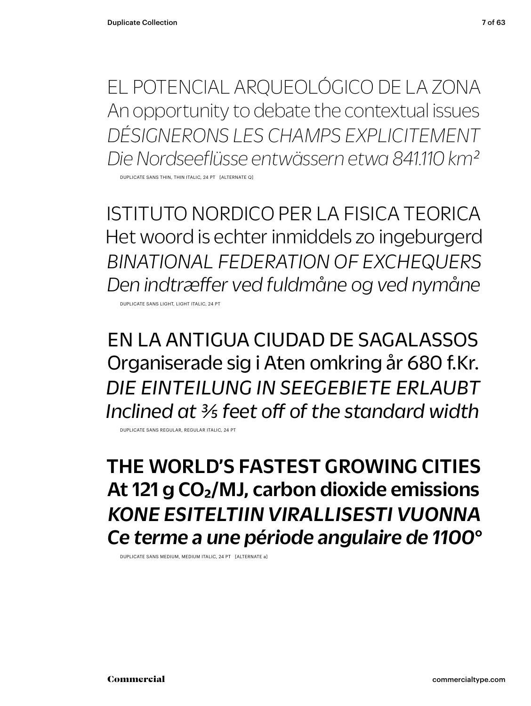EL POTENCIAL ARQUEOLÓGICO DE LA ZONA An opportunity to debate the contextual issues *DÉSIGNERONS LES CHAMPS EXPLICITEMENT Die Nordseeflüsse entwässern etwa 841.110 km2*

DUPLICATE SANS THIN, THIN ITALIC, 24 PT [ALTERNATE Q]

ISTITUTO NORDICO PER LA FISICA TEORICA Het woord is echter inmiddels zo ingeburgerd *BINATIONAL FEDERATION OF EXCHEQUERS Den indtræffer ved fuldmåne og ved nymåne*

DUPLICATE SANS LIGHT, LIGHT ITALIC, 24 PT

EN LA ANTIGUA CIUDAD DE SAGALASSOS Organiserade sig i Aten omkring år 680 f.Kr. *DIE EINTEILUNG IN SEEGEBIETE ERLAUBT Inclined at 3/5 feet off of the standard width*

DUPLICATE SANS REGULAR, REGULAR ITALIC, 24 PT

THE WORLD'S FASTEST GROWING CITIES At 121 g CO<sub>2</sub>/MJ, carbon dioxide emissions *KONE ESITELTIIN VIRALLISESTI VUONNA Ce terme a une période angulaire de 1100°*

DUPLICATE SANS MEDIUM, MEDIUM ITALIC, 24 PT [ALTERNATE a]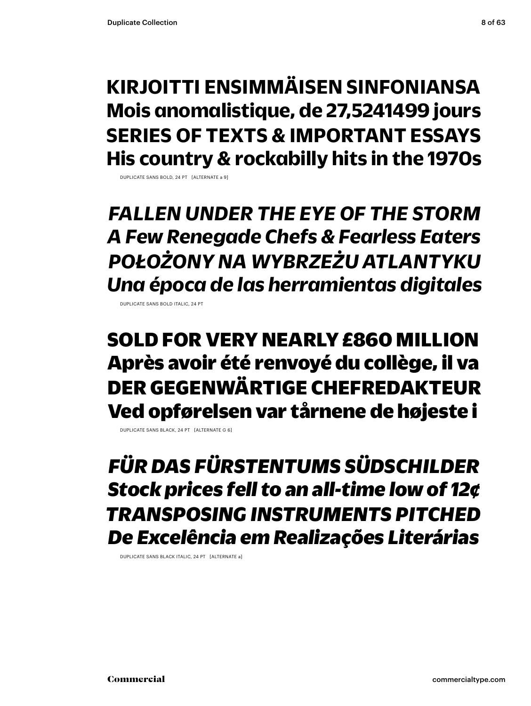### **KIRJOITTI ENSIMMÄISEN SINFONIANSA Mois anomalistique, de 27,5241499 jours SERIES OF TEXTS & IMPORTANT ESSAYS His country & rockabilly hits in the 1970s**

DUPLICATE SANS BOLD, 24 PT [ALTERNATE a 9]

*FALLEN UNDER THE EYE OF THE STORM A Few Renegade Chefs & Fearless Eaters POŁOŻONY NA WYBRZEŻU ATLANTYKU Una época de las herramientas digitales*

DUPLICATE SANS BOLD ITALIC, 24 PT

SOLD FOR VERY NEARLY £860 MILLION Après avoir été renvoyé du collège, il va DER GEGENWÄRTIGE CHEFREDAKTEUR Ved opførelsen var tårnene de højeste i

DUPLICATE SANS BLACK, 24 PT [ALTERNATE G 6]

*FÜR DAS FÜRSTENTUMS SÜDSCHILDER Stock prices fell to an all-time low of 12¢ TRANSPOSING INSTRUMENTS PITCHED De Excelência em Realizações Literárias*

DUPLICATE SANS BLACK ITALIC, 24 PT [ALTERNATE a]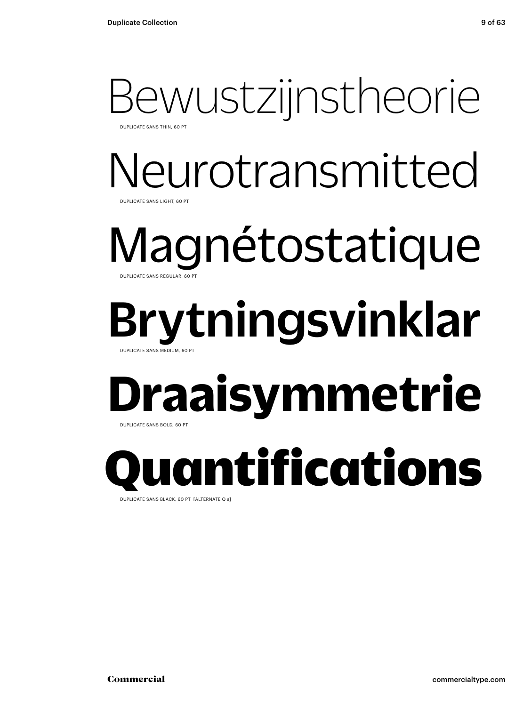### Bewustzijnstheorie DUPLICATE SANS THIN, 60 PT

### Neurotransmitted DUPLICATE SANS LIGHT, 60 PT

### Magnétostatique DUPLICATE SANS REGULAR, 60 PT

### Brytningsvinklar DUPLICATE SANS MEDIUM, 60 PT

### **Draaisymmetrie** DUPLICATE SANS BOLD, 60 PT

Quantifications

DUPLICATE SANS BLACK, 60 PT [ALTERNATE Q a]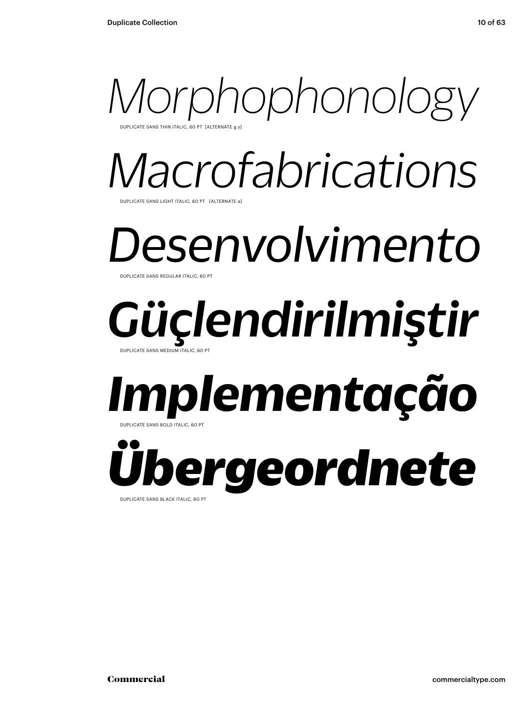

*Macrofabrications* UPLICATE SANS LIGHT ITALIC, 60 PT [ALTERNATE a

*Desenvolvimento* DUPLICATE SANS REGULAR ITALIC, 60

### *Güçlendirilmiştir* DUPLICATE SANS MEDIUM ITALIC, 60 PT

### *Implementação* DUPLICATE SANS BOLD ITALIC, 60 PT

*Übergeordnete* DUPLICATE SANS BLACK ITALIC, 60 PT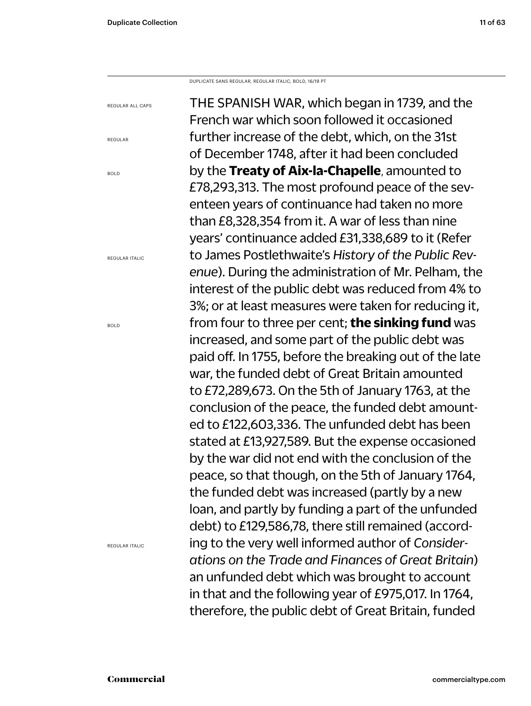DUPLICATE SANS REGULAR, REGULAR ITALIC, BOLD, 16/19 PT

THE SPANISH WAR, which began in 1739, and the French war which soon followed it occasioned further increase of the debt, which, on the 31st of December 1748, after it had been concluded by the **Treaty of Aix-la-Chapelle**, amounted to £78,293,313. The most profound peace of the seventeen years of continuance had taken no more than £8,328,354 from it. A war of less than nine years' continuance added £31,338,689 to it (Refer to James Postlethwaite's *History of the Public Revenue*). During the administration of Mr. Pelham, the interest of the public debt was reduced from 4% to 3%; or at least measures were taken for reducing it, from four to three per cent; **the sinking fund** was increased, and some part of the public debt was paid off. In 1755, before the breaking out of the late war, the funded debt of Great Britain amounted to £72,289,673. On the 5th of January 1763, at the conclusion of the peace, the funded debt amounted to £122,603,336. The unfunded debt has been stated at £13,927,589. But the expense occasioned by the war did not end with the conclusion of the peace, so that though, on the 5th of January 1764, the funded debt was increased (partly by a new loan, and partly by funding a part of the unfunded debt) to £129,586,78, there still remained (according to the very well informed author of *Considerations on the Trade and Finances of Great Britain*) an unfunded debt which was brought to account in that and the following year of £975,017. In 1764, therefore, the public debt of Great Britain, funded

BOLD

REGULAR

REGULAR ALL CAPS

REGULAR ITALIC

BOLD

REGULAR ITALIC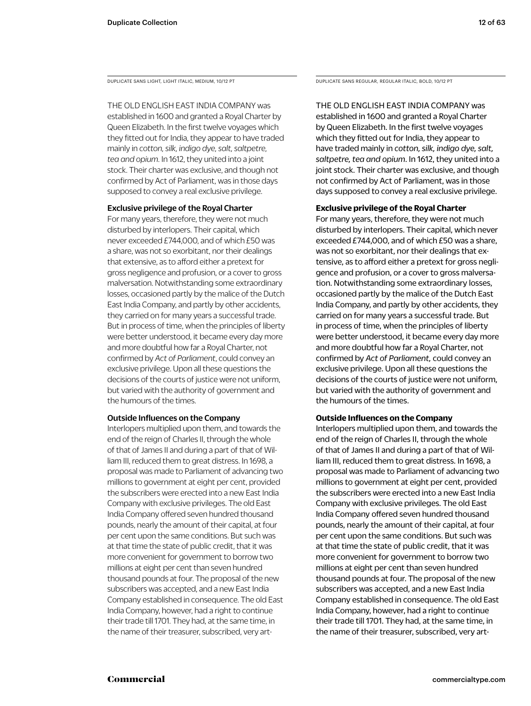DUPLICATE SANS LIGHT, LIGHT ITALIC, MEDIUM, 10/12 PT

THE OLD ENGLISH EAST INDIA COMPANY was established in 1600 and granted a Royal Charter by Queen Elizabeth. In the first twelve voyages which they fitted out for India, they appear to have traded mainly in *cotton, silk, indigo dye, salt, saltpetre, tea and opium*. In 1612, they united into a joint stock. Their charter was exclusive, and though not confirmed by Act of Parliament, was in those days supposed to convey a real exclusive privilege.

### Exclusive privilege of the Royal Charter

For many years, therefore, they were not much disturbed by interlopers. Their capital, which never exceeded £744,000, and of which £50 was a share, was not so exorbitant, nor their dealings that extensive, as to afford either a pretext for gross negligence and profusion, or a cover to gross malversation. Notwithstanding some extraordinary losses, occasioned partly by the malice of the Dutch East India Company, and partly by other accidents, they carried on for many years a successful trade. But in process of time, when the principles of liberty were better understood, it became every day more and more doubtful how far a Royal Charter, not confirmed by *Act of Parliament*, could convey an exclusive privilege. Upon all these questions the decisions of the courts of justice were not uniform, but varied with the authority of government and the humours of the times.

### Outside Influences on the Company

Interlopers multiplied upon them, and towards the end of the reign of Charles II, through the whole of that of James II and during a part of that of William III, reduced them to great distress. In 1698, a proposal was made to Parliament of advancing two millions to government at eight per cent, provided the subscribers were erected into a new East India Company with exclusive privileges. The old East India Company offered seven hundred thousand pounds, nearly the amount of their capital, at four per cent upon the same conditions. But such was at that time the state of public credit, that it was more convenient for government to borrow two millions at eight per cent than seven hundred thousand pounds at four. The proposal of the new subscribers was accepted, and a new East India Company established in consequence. The old East India Company, however, had a right to continue their trade till 1701. They had, at the same time, in the name of their treasurer, subscribed, very artDUPLICATE SANS REGULAR, REGULAR ITALIC, BOLD, 10/12 PT

THE OLD ENGLISH EAST INDIA COMPANY was established in 1600 and granted a Royal Charter by Queen Elizabeth. In the first twelve voyages which they fitted out for India, they appear to have traded mainly in *cotton, silk, indigo dye, salt, saltpetre, tea and opium*. In 1612, they united into a joint stock. Their charter was exclusive, and though not confirmed by Act of Parliament, was in those days supposed to convey a real exclusive privilege.

### **Exclusive privilege of the Royal Charter**

For many years, therefore, they were not much disturbed by interlopers. Their capital, which never exceeded £744,000, and of which £50 was a share, was not so exorbitant, nor their dealings that extensive, as to afford either a pretext for gross negligence and profusion, or a cover to gross malversation. Notwithstanding some extraordinary losses, occasioned partly by the malice of the Dutch East India Company, and partly by other accidents, they carried on for many years a successful trade. But in process of time, when the principles of liberty were better understood, it became every day more and more doubtful how far a Royal Charter, not confirmed by *Act of Parliament,* could convey an exclusive privilege. Upon all these questions the decisions of the courts of justice were not uniform, but varied with the authority of government and the humours of the times.

### **Outside Influences on the Company**

Interlopers multiplied upon them, and towards the end of the reign of Charles II, through the whole of that of James II and during a part of that of William III, reduced them to great distress. In 1698, a proposal was made to Parliament of advancing two millions to government at eight per cent, provided the subscribers were erected into a new East India Company with exclusive privileges. The old East India Company offered seven hundred thousand pounds, nearly the amount of their capital, at four per cent upon the same conditions. But such was at that time the state of public credit, that it was more convenient for government to borrow two millions at eight per cent than seven hundred thousand pounds at four. The proposal of the new subscribers was accepted, and a new East India Company established in consequence. The old East India Company, however, had a right to continue their trade till 1701. They had, at the same time, in the name of their treasurer, subscribed, very art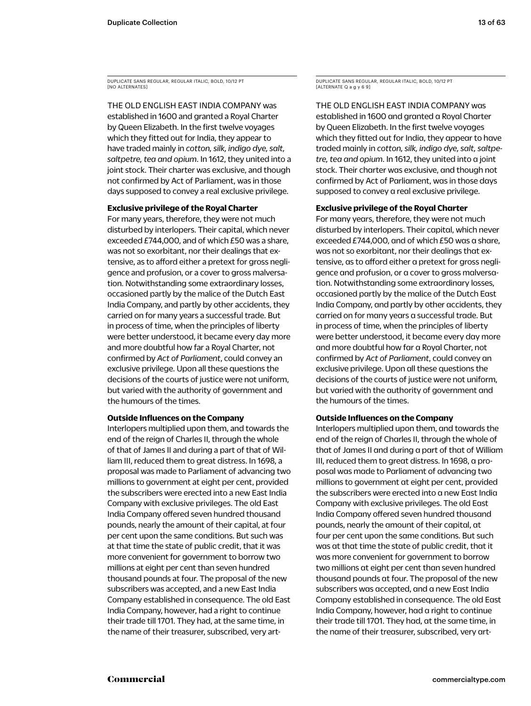DUPLICATE SANS REGULAR, REGULAR ITALIC, BOLD, 10/12 PT [NO ALTERNATES]

THE OLD ENGLISH EAST INDIA COMPANY was established in 1600 and granted a Royal Charter by Queen Elizabeth. In the first twelve voyages which they fitted out for India, they appear to have traded mainly in *cotton, silk, indigo dye, salt, saltpetre, tea and opium*. In 1612, they united into a joint stock. Their charter was exclusive, and though not confirmed by Act of Parliament, was in those days supposed to convey a real exclusive privilege.

### **Exclusive privilege of the Royal Charter**

For many years, therefore, they were not much disturbed by interlopers. Their capital, which never exceeded £744,000, and of which £50 was a share, was not so exorbitant, nor their dealings that extensive, as to afford either a pretext for gross negligence and profusion, or a cover to gross malversation. Notwithstanding some extraordinary losses, occasioned partly by the malice of the Dutch East India Company, and partly by other accidents, they carried on for many years a successful trade. But in process of time, when the principles of liberty were better understood, it became every day more and more doubtful how far a Royal Charter, not confirmed by *Act of Parliament*, could convey an exclusive privilege. Upon all these questions the decisions of the courts of justice were not uniform, but varied with the authority of government and the humours of the times.

### **Outside Influences on the Company**

Interlopers multiplied upon them, and towards the end of the reign of Charles II, through the whole of that of James II and during a part of that of William III, reduced them to great distress. In 1698, a proposal was made to Parliament of advancing two millions to government at eight per cent, provided the subscribers were erected into a new East India Company with exclusive privileges. The old East India Company offered seven hundred thousand pounds, nearly the amount of their capital, at four per cent upon the same conditions. But such was at that time the state of public credit, that it was more convenient for government to borrow two millions at eight per cent than seven hundred thousand pounds at four. The proposal of the new subscribers was accepted, and a new East India Company established in consequence. The old East India Company, however, had a right to continue their trade till 1701. They had, at the same time, in the name of their treasurer, subscribed, very artDUPLICATE SANS REGULAR, REGULAR ITALIC, BOLD, 10/12 PT [ALTERNATE Q a g y 6 9]

THE OLD ENGLISH EAST INDIA COMPANY was established in 1600 and granted a Royal Charter by Queen Elizabeth. In the first twelve voyages which they fitted out for India, they appear to have traded mainly in *cotton, silk, indigo dye, salt, saltpetre, tea and opium*. In 1612, they united into a joint stock. Their charter was exclusive, and though not confirmed by Act of Parliament, was in those days supposed to convey a real exclusive privilege.

### **Exclusive privilege of the Royal Charter**

For many years, therefore, they were not much disturbed by interlopers. Their capital, which never exceeded £744,000, and of which £50 was a share, was not so exorbitant, nor their dealings that extensive, as to afford either a pretext for gross negligence and profusion, or a cover to gross malversation. Notwithstanding some extraordinary losses, occasioned partly by the malice of the Dutch East India Company, and partly by other accidents, they carried on for many years a successful trade. But in process of time, when the principles of liberty were better understood, it became every day more and more doubtful how far a Royal Charter, not confirmed by *Act of Parliament*, could convey an exclusive privilege. Upon all these questions the decisions of the courts of justice were not uniform, but varied with the authority of government and the humours of the times.

### **Outside Influences on the Company**

Interlopers multiplied upon them, and towards the end of the reign of Charles II, through the whole of that of James II and during a part of that of William III, reduced them to great distress. In 1698, a proposal was made to Parliament of advancing two millions to government at eight per cent, provided the subscribers were erected into a new East India Company with exclusive privileges. The old East India Company offered seven hundred thousand pounds, nearly the amount of their capital, at four per cent upon the same conditions. But such was at that time the state of public credit, that it was more convenient for government to borrow two millions at eight per cent than seven hundred thousand pounds at four. The proposal of the new subscribers was accepted, and a new East India Company established in consequence. The old East India Company, however, had a right to continue their trade till 1701. They had, at the same time, in the name of their treasurer, subscribed, very art-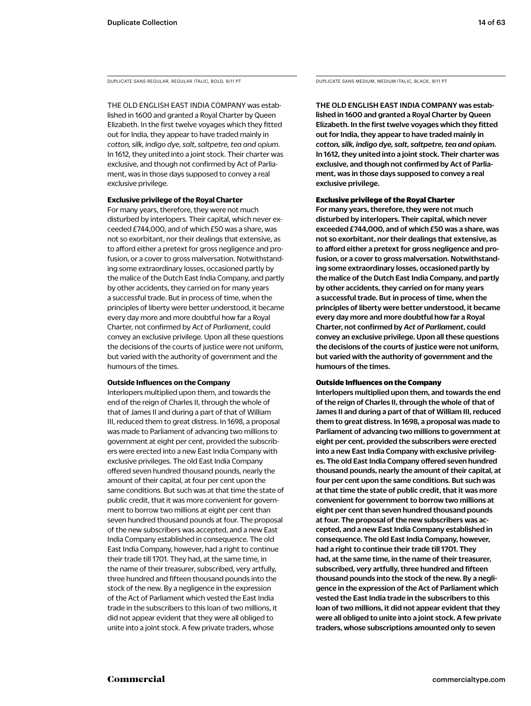THE OLD ENGLISH EAST INDIA COMPANY was established in 1600 and granted a Royal Charter by Queen Elizabeth. In the first twelve voyages which they fitted out for India, they appear to have traded mainly in *cotton, silk, indigo dye, salt, saltpetre, tea and opium*. In 1612, they united into a joint stock. Their charter was exclusive, and though not confirmed by Act of Parliament, was in those days supposed to convey a real exclusive privilege.

### **Exclusive privilege of the Royal Charter**

For many years, therefore, they were not much disturbed by interlopers. Their capital, which never exceeded £744,000, and of which £50 was a share, was not so exorbitant, nor their dealings that extensive, as to afford either a pretext for gross negligence and profusion, or a cover to gross malversation. Notwithstanding some extraordinary losses, occasioned partly by the malice of the Dutch East India Company, and partly by other accidents, they carried on for many years a successful trade. But in process of time, when the principles of liberty were better understood, it became every day more and more doubtful how far a Royal Charter, not confirmed by *Act of Parliament,* could convey an exclusive privilege. Upon all these questions the decisions of the courts of justice were not uniform, but varied with the authority of government and the humours of the times.

### **Outside Influences on the Company**

Interlopers multiplied upon them, and towards the end of the reign of Charles II, through the whole of that of James II and during a part of that of William III, reduced them to great distress. In 1698, a proposal was made to Parliament of advancing two millions to government at eight per cent, provided the subscribers were erected into a new East India Company with exclusive privileges. The old East India Company offered seven hundred thousand pounds, nearly the amount of their capital, at four per cent upon the same conditions. But such was at that time the state of public credit, that it was more convenient for government to borrow two millions at eight per cent than seven hundred thousand pounds at four. The proposal of the new subscribers was accepted, and a new East India Company established in consequence. The old East India Company, however, had a right to continue their trade till 1701. They had, at the same time, in the name of their treasurer, subscribed, very artfully, three hundred and fifteen thousand pounds into the stock of the new. By a negligence in the expression of the Act of Parliament which vested the East India trade in the subscribers to this loan of two millions, it did not appear evident that they were all obliged to unite into a joint stock. A few private traders, whose

DUPLICATE SANS REGULAR, REGULAR ITALIC, BOLD, 9/11 PT DUPLICATE SANS MEDIUM, MEDIUM ITALIC, BLACK, 9/11 PT

THE OLD ENGLISH EAST INDIA COMPANY was established in 1600 and granted a Royal Charter by Queen Elizabeth. In the first twelve voyages which they fitted out for India, they appear to have traded mainly in *cotton, silk, indigo dye, salt, saltpetre, tea and opium*. In 1612, they united into a joint stock. Their charter was exclusive, and though not confirmed by Act of Parliament, was in those days supposed to convey a real exclusive privilege.

### Exclusive privilege of the Royal Charter

For many years, therefore, they were not much disturbed by interlopers. Their capital, which never exceeded £744,000, and of which £50 was a share, was not so exorbitant, nor their dealings that extensive, as to afford either a pretext for gross negligence and profusion, or a cover to gross malversation. Notwithstanding some extraordinary losses, occasioned partly by the malice of the Dutch East India Company, and partly by other accidents, they carried on for many years a successful trade. But in process of time, when the principles of liberty were better understood, it became every day more and more doubtful how far a Royal Charter, not confirmed by *Act of Parliament*, could convey an exclusive privilege. Upon all these questions the decisions of the courts of justice were not uniform, but varied with the authority of government and the humours of the times.

### Outside Influences on the Company

Interlopers multiplied upon them, and towards the end of the reign of Charles II, through the whole of that of James II and during a part of that of William III, reduced them to great distress. In 1698, a proposal was made to Parliament of advancing two millions to government at eight per cent, provided the subscribers were erected into a new East India Company with exclusive privileges. The old East India Company offered seven hundred thousand pounds, nearly the amount of their capital, at four per cent upon the same conditions. But such was at that time the state of public credit, that it was more convenient for government to borrow two millions at eight per cent than seven hundred thousand pounds at four. The proposal of the new subscribers was accepted, and a new East India Company established in consequence. The old East India Company, however, had a right to continue their trade till 1701. They had, at the same time, in the name of their treasurer, subscribed, very artfully, three hundred and fifteen thousand pounds into the stock of the new. By a negligence in the expression of the Act of Parliament which vested the East India trade in the subscribers to this loan of two millions, it did not appear evident that they were all obliged to unite into a joint stock. A few private traders, whose subscriptions amounted only to seven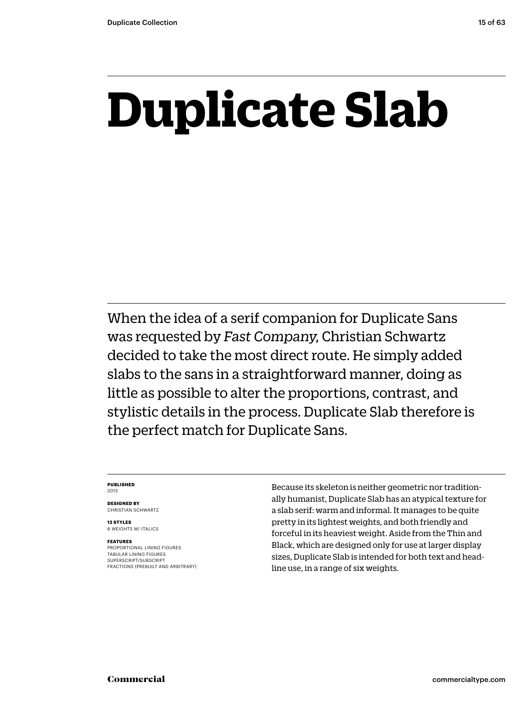## **Duplicate Slab**

When the idea of a serif companion for Duplicate Sans was requested by *Fast Company*, Christian Schwartz decided to take the most direct route. He simply added slabs to the sans in a straightforward manner, doing as little as possible to alter the proportions, contrast, and stylistic details in the process. Duplicate Slab therefore is the perfect match for Duplicate Sans.

### **PUBLISHED** 2013

**DESIGNED BY** CHRISTIAN SCHWARTZ

**12 STYLES** 6 WEIGHTS W/ ITALICS

### **FEATURES**

PROPORTIONAL LINING FIGURES TABULAR LINING FIGURES SUPERSCRIPT/SUBSCRIPT FRACTIONS (PREBUILT AND ARBITRARY) Because its skeleton is neither geometric nor traditionally humanist, Duplicate Slab has an atypical texture for a slab serif: warm and informal. It manages to be quite pretty in its lightest weights, and both friendly and forceful in its heaviest weight. Aside from the Thin and Black, which are designed only for use at larger display sizes, Duplicate Slab is intended for both text and headline use, in a range of six weights.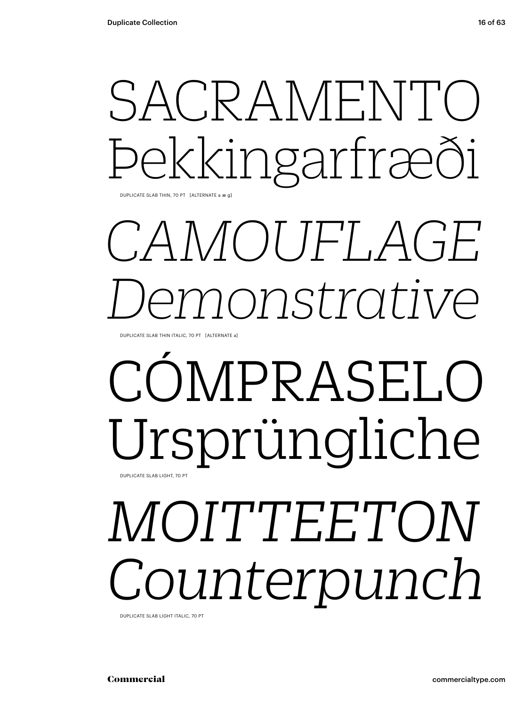## SACRAMENT Þekkingarfræði

DUPLICATE SLAB THIN, 70 PT [ALTERNATE a æ g]

## *CAMOUFLAGE Demonstrative*

DUPLICATE SLAB THIN ITALIC, 70 PT [ALTERNATE a]

### CÓMPRASELO Ursprüngliche DUPLICATE SLAB LIGHT, 70 PT

# *MOITTEETON Counterpunch*

DUPLICATE SLAB LIGHT ITALIC, 70 PT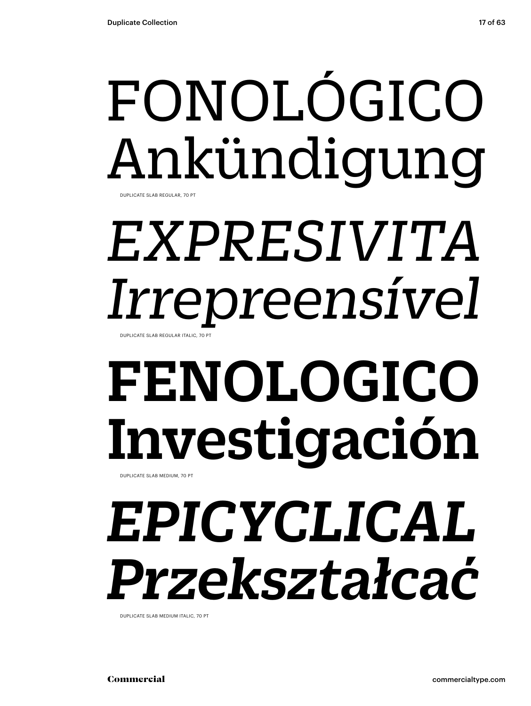### FONOLÓGICO Ankündigung DUPLICATE SLAB REGULAR, 70 PT

*EXPRESIVITA Irrepreensível*

# FENOLOGICO Investigación

DUPLICATE SLAB MEDIUM, 70 PT

DUPLICATE SLAB REGULAR ITALIC, 70 PT

## *EPICYCLICAL Przekształcać*

DUPLICATE SLAB MEDIUM ITALIC, 70 PT

Commercial commercialtype.com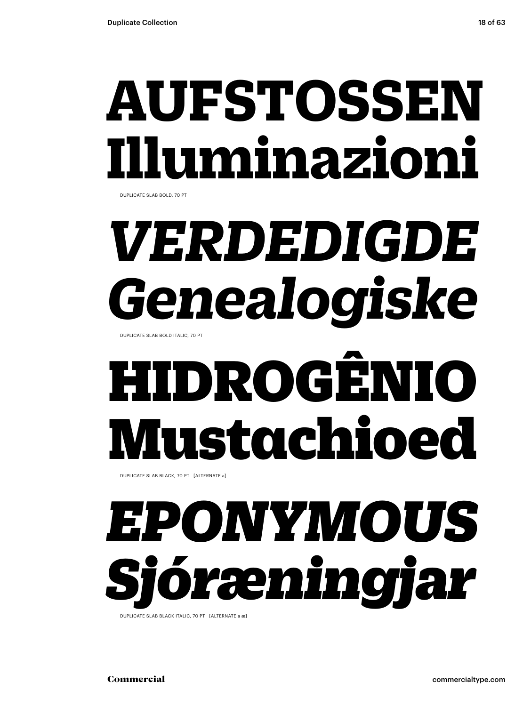## **AUFSTOSSEI Illuminazioni**

DUPLICATE SLAB BOLD, 70 PT

# *VERDEDIGDE Genealogiske*

DUPLICATE SLAB BOLD ITALIC, 70 PT

# HIDROGÊNIO Mustachioed

DUPLICATE SLAB BLACK, 70 PT [ALTERNATE a]

## *EPONYMOUS Sjóræningjar*

DUPLICATE SLAB BLACK ITALIC, 70 PT [ALTERNATE a æ]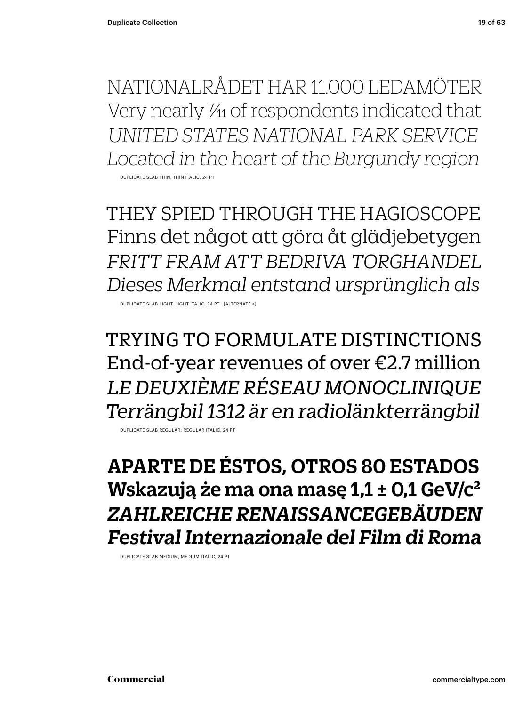NATIONALRÅDET HAR 11.000 LEDAMÖTER Very nearly  $\frac{\gamma_{11}}{\gamma_{11}}$  of respondents indicated that *UNITED STATES NATIONAL PARK SERVICE Located in the heart of the Burgundy region*

DUPLICATE SLAB THIN, THIN ITALI

THEY SPIED THROUGH THE HAGIOSCOPE Finns det något att göra åt glädjebetygen *FRITT FRAM ATT BEDRIVA TORGHANDEL Dieses Merkmal entstand ursprünglich als*

DUPLICATE SLAB LIGHT, LIGHT ITALIC, 24 PT [ALTERNATE a]

TRYING TO FORMULATE DISTINCTIONS End-of-year revenues of over €2.7 million *LE DEUXIÈME RÉSEAU MONOCLINIQUE Terrängbil 1312 är en radiolänkterrängbil*

DUPLICATE SLAB REGULAR, REGULAR ITALIC, 24 PT

APARTE DE ÉSTOS, OTROS 80 ESTADOS Wskazują że ma ona masę 1,1 ± 0,1 GeV/c2 *ZAHLREICHE RENAISSANCEGEBÄUDEN Festival Internazionale del Film di Roma*

DUPLICATE SLAB MEDIUM, MEDIUM ITALIC, 24 PT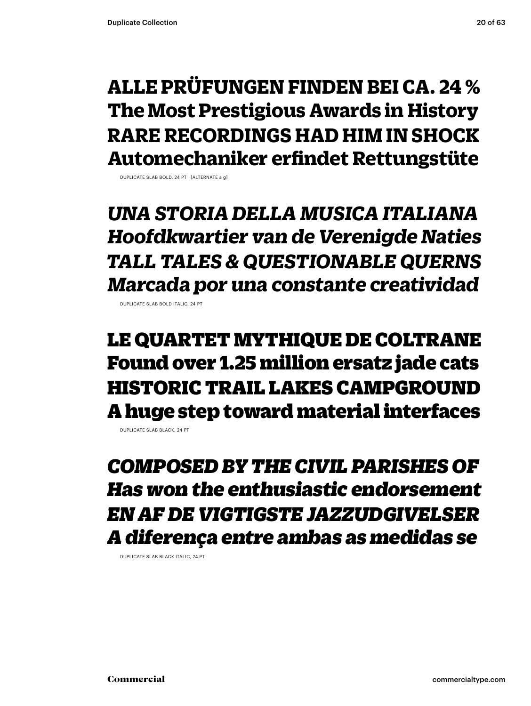### **ALLE PRÜFUNGEN FINDEN BEI CA. 24 % The Most Prestigious Awards in History RARE RECORDINGS HAD HIM IN SHOCK Automechaniker erfindet Rettungstüte**

DUPLICATE SLAB BOLD, 24 PT [ALTERNATE a g]

*UNA STORIA DELLA MUSICA ITALIANA Hoofdkwartier van de Verenigde Naties TALL TALES & QUESTIONABLE QUERNS Marcada por una constante creatividad*

DUPLICATE SLAB BOLD ITALIC, 24 PT

LE QUARTET MYTHIQUE DE COLTRANE Found over 1.25 million ersatz jade cats HISTORIC TRAIL LAKES CAMPGROUND A huge step toward material interfaces

DUPLICATE SLAB BLACK, 24 PT

*COMPOSED BY THE CIVIL PARISHES OF Has won the enthusiastic endorsement EN AF DE VIGTIGSTE JAZZUDGIVELSER A diferença entre ambas as medidas se*

DUPLICATE SLAB BLACK ITALIC, 24 PT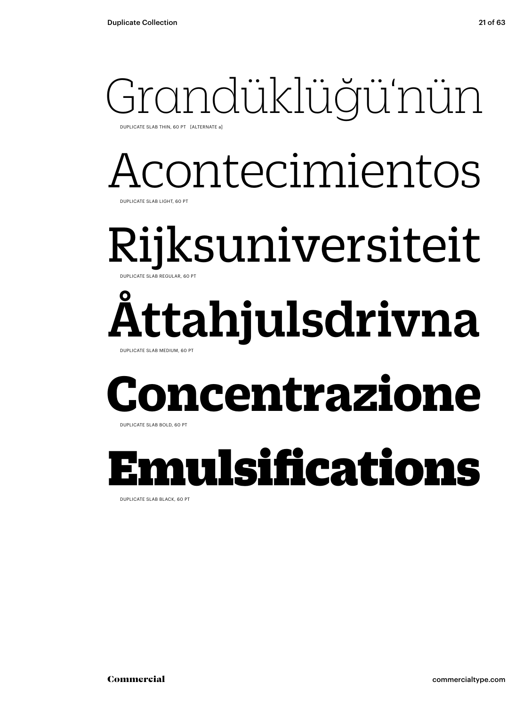## Grandüklüğü'nün

DUPLICATE SLAB THIN, 60 PT [ALTERNATE a]

### Acontecimientos DUPLICATE SLAB LIGHT, 60 PT

### Rijksuniversiteit DUPLICATE SLAB REGULAR, 60 PT

### Åttahjulsdrivna DUPLICATE SLAB MEDIUM, 60 PT

### **ncentrazione**

DUPLICATE SLAB BOLD, 60 PT

### Emulsifications

DUPLICATE SLAB BLACK, 60 PT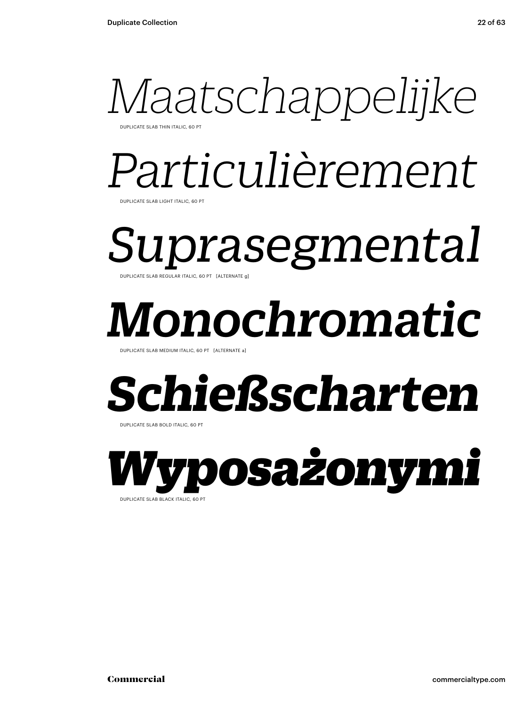

DUPLICATE SLAB THIN ITALIC, 60 PT

## *Particulièrement*

DUPLICATE SLAB LIGHT ITALIC, 60 PT

*Suprasegmental*  DUPLICATE SLAB REGULAR ITALIC, 60 PT [ALTERNATE g]

## *Monochromatic*

DUPLICATE SLAB MEDIUM ITALIC, 60 PT [ALTERNATE a

### *Schießscharten*

DUPLICATE SLAB BOLD ITALIC, 60 PT

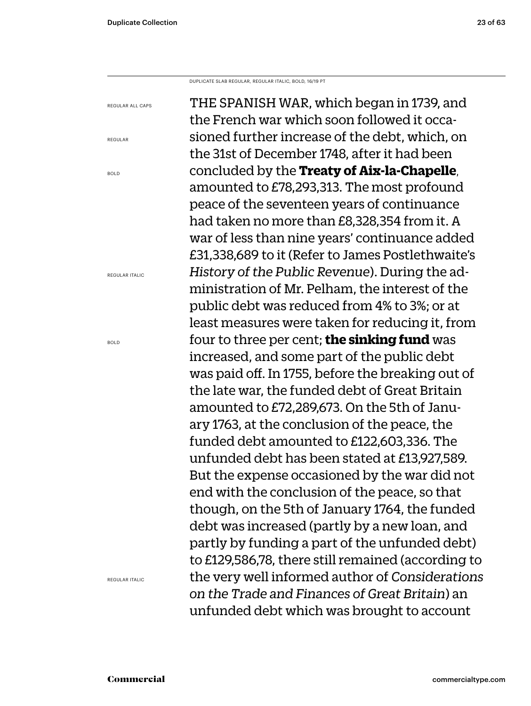DUPLICATE SLAB REGULAR, REGULAR ITALIC, BOLD, 16/19 PT

REGULAR ALL CAPS

REGULAR

BOLD

THE SPANISH WAR, which began in 1739, and the French war which soon followed it occasioned further increase of the debt, which, on the 31st of December 1748, after it had been concluded by the **Treaty of Aix-la-Chapelle**, amounted to £78,293,313. The most profound peace of the seventeen years of continuance had taken no more than £8,328,354 from it. A war of less than nine years' continuance added £31,338,689 to it (Refer to James Postlethwaite's *History of the Public Revenue*). During the administration of Mr. Pelham, the interest of the public debt was reduced from 4% to 3%; or at least measures were taken for reducing it, from four to three per cent; **the sinking fund** was increased, and some part of the public debt was paid off. In 1755, before the breaking out of the late war, the funded debt of Great Britain amounted to £72,289,673. On the 5th of January 1763, at the conclusion of the peace, the funded debt amounted to £122,603,336. The unfunded debt has been stated at £13,927,589. But the expense occasioned by the war did not end with the conclusion of the peace, so that though, on the 5th of January 1764, the funded debt was increased (partly by a new loan, and partly by funding a part of the unfunded debt) to £129,586,78, there still remained (according to the very well informed author of *Considerations on the Trade and Finances of Great Britain*) an unfunded debt which was brought to account

REGULAR ITALIC

BOLD

REGULAR ITALIC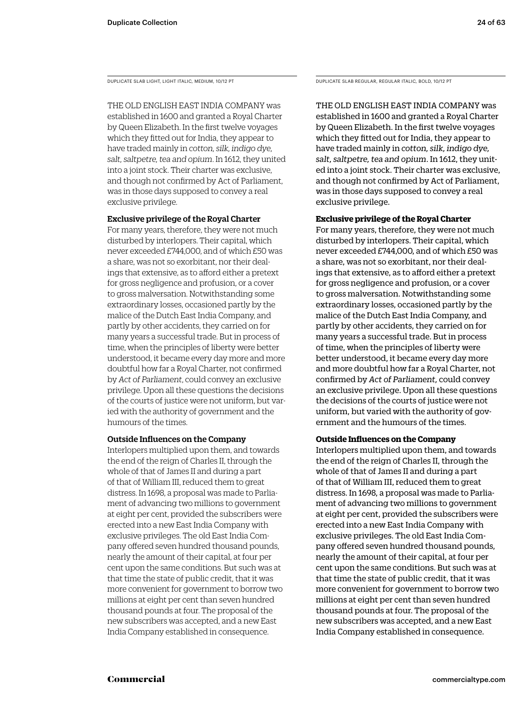DUPLICATE SLAB LIGHT, LIGHT ITALIC, MEDIUM, 10/12 PT

THE OLD ENGLISH EAST INDIA COMPANY was established in 1600 and granted a Royal Charter by Queen Elizabeth. In the first twelve voyages which they fitted out for India, they appear to have traded mainly in *cotton, silk, indigo dye, salt, saltpetre, tea and opium*. In 1612, they united into a joint stock. Their charter was exclusive, and though not confirmed by Act of Parliament, was in those days supposed to convey a real exclusive privilege.

### Exclusive privilege of the Royal Charter

For many years, therefore, they were not much disturbed by interlopers. Their capital, which never exceeded £744,000, and of which £50 was a share, was not so exorbitant, nor their dealings that extensive, as to afford either a pretext for gross negligence and profusion, or a cover to gross malversation. Notwithstanding some extraordinary losses, occasioned partly by the malice of the Dutch East India Company, and partly by other accidents, they carried on for many years a successful trade. But in process of time, when the principles of liberty were better understood, it became every day more and more doubtful how far a Royal Charter, not confirmed by *Act of Parliament*, could convey an exclusive privilege. Upon all these questions the decisions of the courts of justice were not uniform, but varied with the authority of government and the humours of the times.

### Outside Influences on the Company

Interlopers multiplied upon them, and towards the end of the reign of Charles II, through the whole of that of James II and during a part of that of William III, reduced them to great distress. In 1698, a proposal was made to Parliament of advancing two millions to government at eight per cent, provided the subscribers were erected into a new East India Company with exclusive privileges. The old East India Company offered seven hundred thousand pounds, nearly the amount of their capital, at four per cent upon the same conditions. But such was at that time the state of public credit, that it was more convenient for government to borrow two millions at eight per cent than seven hundred thousand pounds at four. The proposal of the new subscribers was accepted, and a new East India Company established in consequence.

DUPLICATE SLAB REGULAR, REGULAR ITALIC, BOLD, 10/12 PT

THE OLD ENGLISH EAST INDIA COMPANY was established in 1600 and granted a Royal Charter by Queen Elizabeth. In the first twelve voyages which they fitted out for India, they appear to have traded mainly in *cotton, silk, indigo dye, salt, saltpetre, tea and opium*. In 1612, they united into a joint stock. Their charter was exclusive, and though not confirmed by Act of Parliament, was in those days supposed to convey a real exclusive privilege.

### **Exclusive privilege of the Royal Charter**

For many years, therefore, they were not much disturbed by interlopers. Their capital, which never exceeded £744,000, and of which £50 was a share, was not so exorbitant, nor their dealings that extensive, as to afford either a pretext for gross negligence and profusion, or a cover to gross malversation. Notwithstanding some extraordinary losses, occasioned partly by the malice of the Dutch East India Company, and partly by other accidents, they carried on for many years a successful trade. But in process of time, when the principles of liberty were better understood, it became every day more and more doubtful how far a Royal Charter, not confirmed by *Act of Parliament,* could convey an exclusive privilege. Upon all these questions the decisions of the courts of justice were not uniform, but varied with the authority of government and the humours of the times.

### **Outside Influences on the Company**

Interlopers multiplied upon them, and towards the end of the reign of Charles II, through the whole of that of James II and during a part of that of William III, reduced them to great distress. In 1698, a proposal was made to Parliament of advancing two millions to government at eight per cent, provided the subscribers were erected into a new East India Company with exclusive privileges. The old East India Company offered seven hundred thousand pounds, nearly the amount of their capital, at four per cent upon the same conditions. But such was at that time the state of public credit, that it was more convenient for government to borrow two millions at eight per cent than seven hundred thousand pounds at four. The proposal of the new subscribers was accepted, and a new East India Company established in consequence.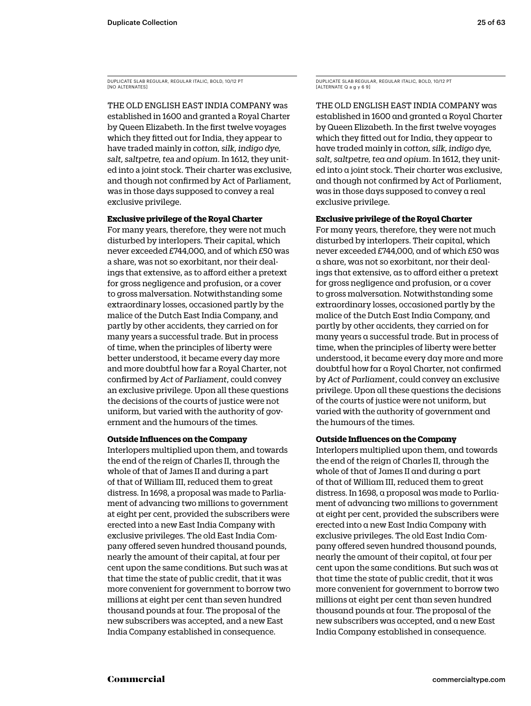DUPLICATE SLAB REGULAR, REGULAR ITALIC, BOLD, 10/12 PT [NO ALTERNATES]

THE OLD ENGLISH EAST INDIA COMPANY was established in 1600 and granted a Royal Charter by Queen Elizabeth. In the first twelve voyages which they fitted out for India, they appear to have traded mainly in *cotton, silk, indigo dye, salt, saltpetre, tea and opium*. In 1612, they united into a joint stock. Their charter was exclusive, and though not confirmed by Act of Parliament, was in those days supposed to convey a real exclusive privilege.

### **Exclusive privilege of the Royal Charter**

For many years, therefore, they were not much disturbed by interlopers. Their capital, which never exceeded £744,000, and of which £50 was a share, was not so exorbitant, nor their dealings that extensive, as to afford either a pretext for gross negligence and profusion, or a cover to gross malversation. Notwithstanding some extraordinary losses, occasioned partly by the malice of the Dutch East India Company, and partly by other accidents, they carried on for many years a successful trade. But in process of time, when the principles of liberty were better understood, it became every day more and more doubtful how far a Royal Charter, not confirmed by *Act of Parliament*, could convey an exclusive privilege. Upon all these questions the decisions of the courts of justice were not uniform, but varied with the authority of government and the humours of the times.

### **Outside Influences on the Company**

Interlopers multiplied upon them, and towards the end of the reign of Charles II, through the whole of that of James II and during a part of that of William III, reduced them to great distress. In 1698, a proposal was made to Parliament of advancing two millions to government at eight per cent, provided the subscribers were erected into a new East India Company with exclusive privileges. The old East India Company offered seven hundred thousand pounds, nearly the amount of their capital, at four per cent upon the same conditions. But such was at that time the state of public credit, that it was more convenient for government to borrow two millions at eight per cent than seven hundred thousand pounds at four. The proposal of the new subscribers was accepted, and a new East India Company established in consequence.

DUPLICATE SLAB REGULAR, REGULAR ITALIC, BOLD, 10/12 PT [ALTERNATE Q a g y 6 9]

THE OLD ENGLISH EAST INDIA COMPANY was established in 1600 and granted a Royal Charter by Queen Elizabeth. In the first twelve voyages which they fitted out for India, they appear to have traded mainly in *cotton, silk, indigo dye, salt, saltpetre, tea and opium*. In 1612, they united into a joint stock. Their charter was exclusive, and though not confirmed by Act of Parliament, was in those days supposed to convey a real exclusive privilege.

### **Exclusive privilege of the Royal Charter**

For many years, therefore, they were not much disturbed by interlopers. Their capital, which never exceeded £744,000, and of which £50 was a share, was not so exorbitant, nor their dealings that extensive, as to afford either a pretext for gross negligence and profusion, or a cover to gross malversation. Notwithstanding some extraordinary losses, occasioned partly by the malice of the Dutch East India Company, and partly by other accidents, they carried on for many years a successful trade. But in process of time, when the principles of liberty were better understood, it became every day more and more doubtful how far a Royal Charter, not confirmed by *Act of Parliament*, could convey an exclusive privilege. Upon all these questions the decisions of the courts of justice were not uniform, but varied with the authority of government and the humours of the times.

### **Outside Influences on the Company**

Interlopers multiplied upon them, and towards the end of the reign of Charles II, through the whole of that of James II and during a part of that of William III, reduced them to great distress. In 1698, a proposal was made to Parliament of advancing two millions to government at eight per cent, provided the subscribers were erected into a new East India Company with exclusive privileges. The old East India Company offered seven hundred thousand pounds, nearly the amount of their capital, at four per cent upon the same conditions. But such was at that time the state of public credit, that it was more convenient for government to borrow two millions at eight per cent than seven hundred thousand pounds at four. The proposal of the new subscribers was accepted, and a new East India Company established in consequence.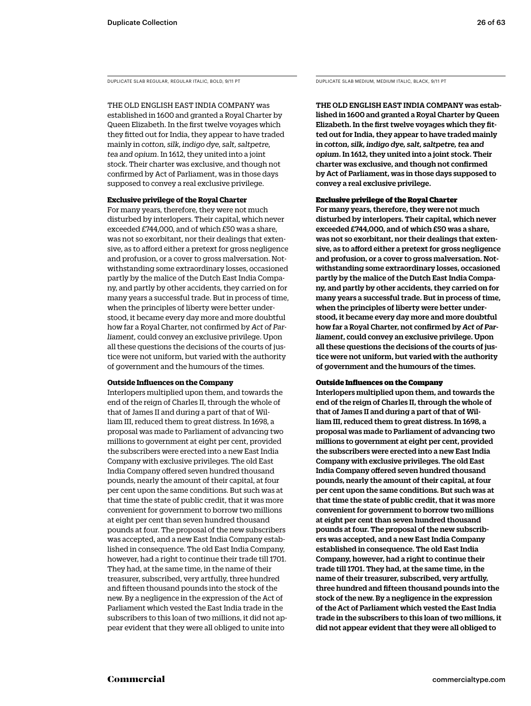DUPLICATE SLAB REGULAR, REGULAR ITALIC, BOLD, 9/11 PT DUPLICATE SLAB MEDIUM, MEDIUM ITALIC, BLACK, 9/11 PT

THE OLD ENGLISH EAST INDIA COMPANY was established in 1600 and granted a Royal Charter by Queen Elizabeth. In the first twelve voyages which they fitted out for India, they appear to have traded mainly in *cotton, silk, indigo dye, salt, saltpetre, tea and opium*. In 1612, they united into a joint stock. Their charter was exclusive, and though not confirmed by Act of Parliament, was in those days supposed to convey a real exclusive privilege.

### **Exclusive privilege of the Royal Charter**

For many years, therefore, they were not much disturbed by interlopers. Their capital, which never exceeded £744,000, and of which £50 was a share, was not so exorbitant, nor their dealings that extensive, as to afford either a pretext for gross negligence and profusion, or a cover to gross malversation. Notwithstanding some extraordinary losses, occasioned partly by the malice of the Dutch East India Company, and partly by other accidents, they carried on for many years a successful trade. But in process of time, when the principles of liberty were better understood, it became every day more and more doubtful how far a Royal Charter, not confirmed by *Act of Parliament,* could convey an exclusive privilege. Upon all these questions the decisions of the courts of justice were not uniform, but varied with the authority of government and the humours of the times.

### **Outside Influences on the Company**

Interlopers multiplied upon them, and towards the end of the reign of Charles II, through the whole of that of James II and during a part of that of William III, reduced them to great distress. In 1698, a proposal was made to Parliament of advancing two millions to government at eight per cent, provided the subscribers were erected into a new East India Company with exclusive privileges. The old East India Company offered seven hundred thousand pounds, nearly the amount of their capital, at four per cent upon the same conditions. But such was at that time the state of public credit, that it was more convenient for government to borrow two millions at eight per cent than seven hundred thousand pounds at four. The proposal of the new subscribers was accepted, and a new East India Company established in consequence. The old East India Company, however, had a right to continue their trade till 1701. They had, at the same time, in the name of their treasurer, subscribed, very artfully, three hundred and fifteen thousand pounds into the stock of the new. By a negligence in the expression of the Act of Parliament which vested the East India trade in the subscribers to this loan of two millions, it did not appear evident that they were all obliged to unite into

THE OLD ENGLISH EAST INDIA COMPANY was established in 1600 and granted a Royal Charter by Queen Elizabeth. In the first twelve voyages which they fitted out for India, they appear to have traded mainly in *cotton, silk, indigo dye, salt, saltpetre, tea and opium*. In 1612, they united into a joint stock. Their charter was exclusive, and though not confirmed by Act of Parliament, was in those days supposed to convey a real exclusive privilege.

### Exclusive privilege of the Royal Charter

For many years, therefore, they were not much disturbed by interlopers. Their capital, which never exceeded £744,000, and of which £50 was a share, was not so exorbitant, nor their dealings that extensive, as to afford either a pretext for gross negligence and profusion, or a cover to gross malversation. Notwithstanding some extraordinary losses, occasioned partly by the malice of the Dutch East India Company, and partly by other accidents, they carried on for many years a successful trade. But in process of time, when the principles of liberty were better understood, it became every day more and more doubtful how far a Royal Charter, not confirmed by *Act of Parliament*, could convey an exclusive privilege. Upon all these questions the decisions of the courts of justice were not uniform, but varied with the authority of government and the humours of the times.

### Outside Influences on the Company

Interlopers multiplied upon them, and towards the end of the reign of Charles II, through the whole of that of James II and during a part of that of William III, reduced them to great distress. In 1698, a proposal was made to Parliament of advancing two millions to government at eight per cent, provided the subscribers were erected into a new East India Company with exclusive privileges. The old East India Company offered seven hundred thousand pounds, nearly the amount of their capital, at four per cent upon the same conditions. But such was at that time the state of public credit, that it was more convenient for government to borrow two millions at eight per cent than seven hundred thousand pounds at four. The proposal of the new subscribers was accepted, and a new East India Company established in consequence. The old East India Company, however, had a right to continue their trade till 1701. They had, at the same time, in the name of their treasurer, subscribed, very artfully, three hundred and fifteen thousand pounds into the stock of the new. By a negligence in the expression of the Act of Parliament which vested the East India trade in the subscribers to this loan of two millions, it did not appear evident that they were all obliged to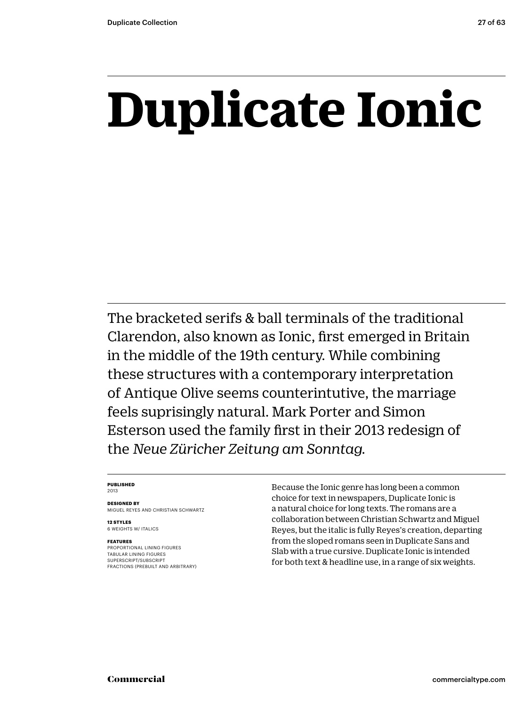## **Duplicate Ionic**

The bracketed serifs & ball terminals of the traditional Clarendon, also known as Ionic, first emerged in Britain in the middle of the 19th century. While combining these structures with a contemporary interpretation of Antique Olive seems counterintutive, the marriage feels suprisingly natural. Mark Porter and Simon Esterson used the family first in their 2013 redesign of the *Neue Züricher Zeitung am Sonntag.*

### **PUBLISHED** 2013

**DESIGNED BY** MIGUEL REYES AND CHRISTIAN SCHWARTZ

**12 STYLES** 6 WEIGHTS W/ ITALICS

### **FEATURES**

PROPORTIONAL LINING FIGURES TABULAR LINING FIGURES SUPERSCRIPT/SUBSCRIPT FRACTIONS (PREBUILT AND ARBITRARY) Because the Ionic genre has long been a common choice for text in newspapers, Duplicate Ionic is a natural choice for long texts. The romans are a collaboration between Christian Schwartz and Miguel Reyes, but the italic is fully Reyes's creation, departing from the sloped romans seen in Duplicate Sans and Slab with a true cursive. Duplicate Ionic is intended for both text & headline use, in a range of six weights.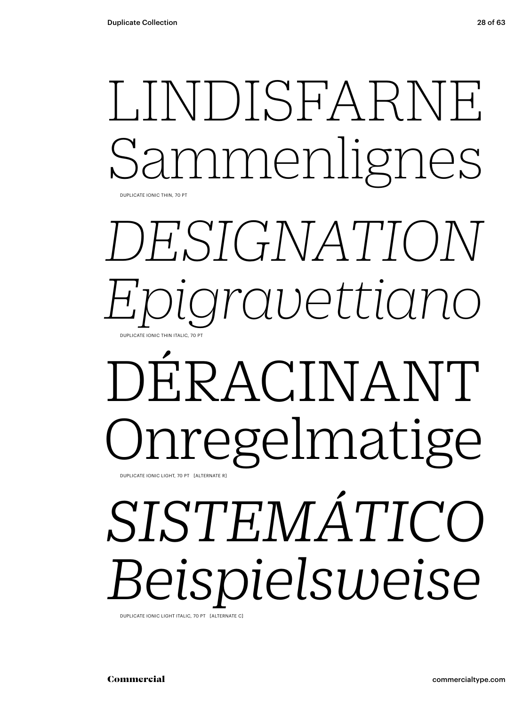### LINDISFARNE nmenlignes DUPLICATE IONIC THIN, 70 PT

### *DESIGNATION Epigravettiano* DUPLICATE IONIC THIN ITALIC, 70 PT

### DÉRACINANT Onregelmatige DUPLICATE IONIC LIGHT, 70 PT [ALTERNATE R]

# *SISTEMÁTICO Beispielsweise*

DUPLICATE IONIC LIGHT ITALIC, 70 PT [ALTERNATE C]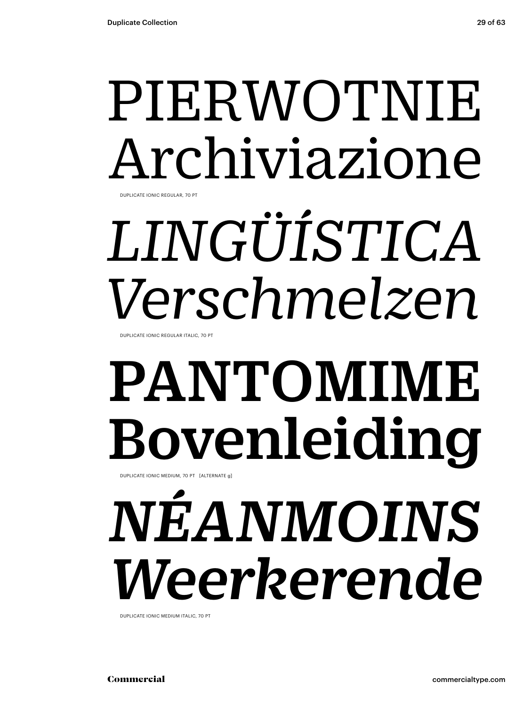### PIERWOTNIE Archiviazione DUPLICATE IONIC REGULAR, 70 PT

# *LINGÜÍSTICA Verschmelzen*

DUPLICATE IONIC REGULAR ITALIC, 70 PT

# PANTOMIME Bovenleiding

DUPLICATE IONIC MEDIUM, 70 PT [ALTERNATE g]

# *NÉANMOINS Weerkerende*

DUPLICATE IONIC MEDIUM ITALIC, 70 PT

Commercial commercialtype.com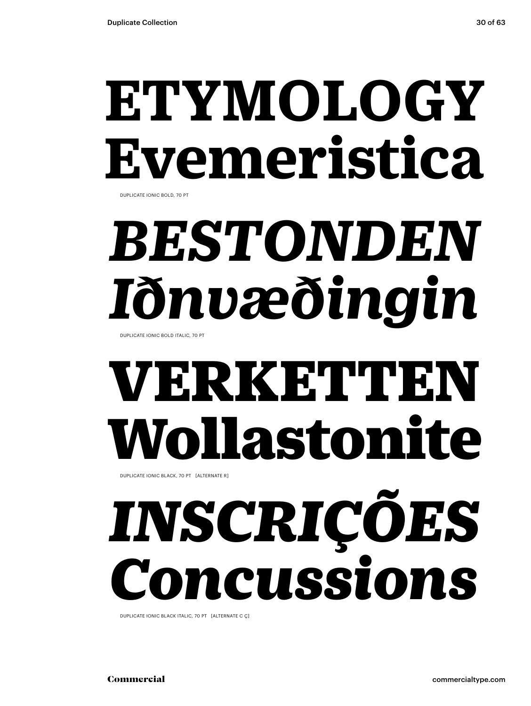## **ETYMOLOGY Evemeristica**

DUPLICATE IONIC BOLD, 70 PT

# *BESTONDEN Iðnvæðingin*

DUPLICATE IONIC BOLD ITALIC, 70 PT

## VERKETTEN Wollastonite

DUPLICATE IONIC BLACK, 70 PT [ALTERNATE R]

# *INSCRIÇÕES Concussions*

DUPLICATE IONIC BLACK ITALIC, 70 PT [ALTERNATE C Ç]

Commercial commercialtype.com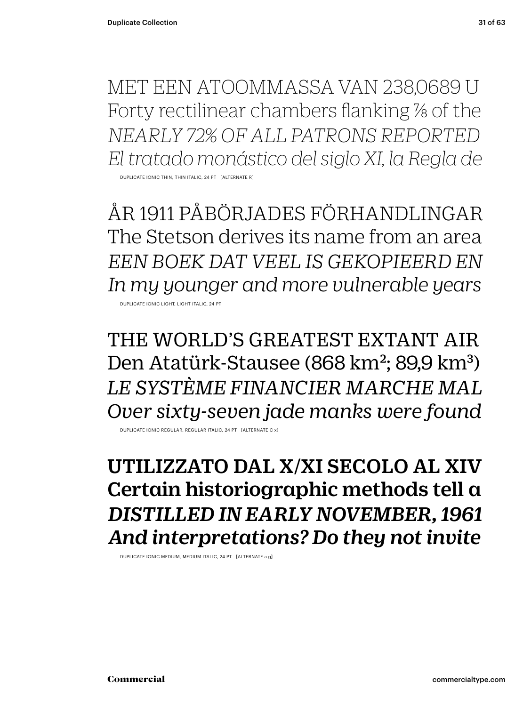MET EEN ATOOMMASSA VAN 238,0689 U Forty rectilinear chambers flanking % of the *NEARLY 72% OF ALL PATRONS REPORTED El tratado monástico del siglo XI, la Regla de*

DUPLICATE IONIC THIN, THIN ITALIC, 24 PT [ALTERNATE R]

ÅR 1911 PÅBÖRJADES FÖRHANDLINGAR The Stetson derives its name from an area *EEN BOEK DAT VEEL IS GEKOPIEERD EN In my younger and more vulnerable years*

DUPLICATE IONIC LIGHT, LIGHT ITALIC, 24 PT

THE WORLD'S GREATEST EXTANT AIR Den Atatürk-Stausee (868 km<sup>2</sup>; 89,9 km<sup>3</sup>) *LE SYSTÈME FINANCIER MARCHE MAL Over sixty-seven jade manks were found*

DUPLICATE IONIC REGULAR, REGULAR ITALIC, 24 PT [ALTERNATE C x]

### UTILIZZATO DAL X/XI SECOLO AL XIV Certain historiographic methods tell a *DISTILLED IN EARLY NOVEMBER, 1961 And interpretations? Do they not invite*

DUPLICATE IONIC MEDIUM, MEDIUM ITALIC, 24 PT [ALTERNATE a g]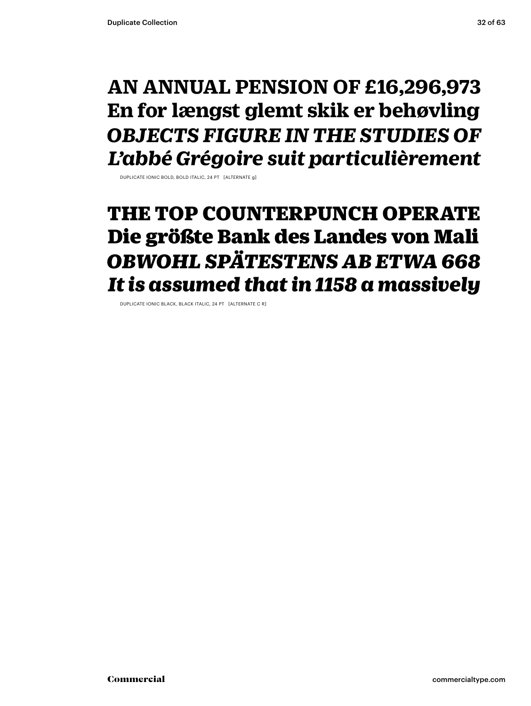### **AN ANNUAL PENSION OF £16,296,973 En for længst glemt skik er behøvling** *OBJECTS FIGURE IN THE STUDIES OF L'abbé Grégoire suit particulièrement*

DUPLICATE IONIC BOLD, BOLD ITALIC, 24 PT [ALTERNATE g]

### THE TOP COUNTERPUNCH OPERATE Die größte Bank des Landes von Mali *OBWOHL SPÄTESTENS AB ETWA 668 It is assumed that in 1158 a massively*

DUPLICATE IONIC BLACK, BLACK ITALIC, 24 PT [ALTERNATE C R]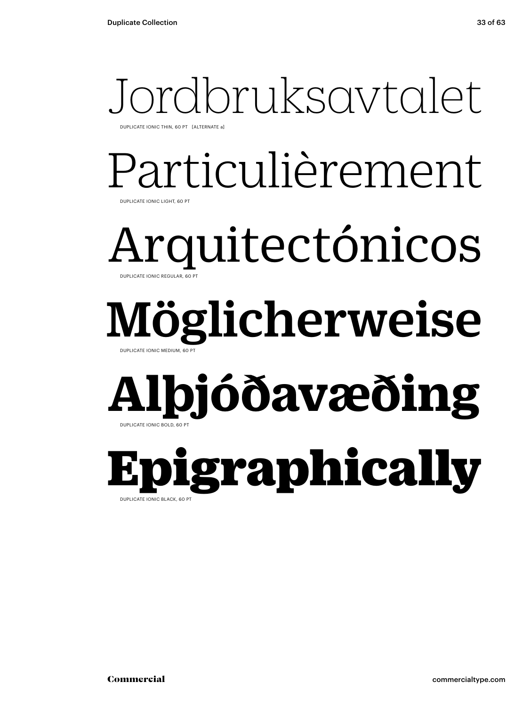## Jordbruksavtalet

DUPLICATE IONIC THIN, 60 PT [ALTERNATE a]

### Particulièrement DUPLICATE IONIC LIGHT, 60 PT

Arquitectónicos DUPLICATE IONIC REGULAR, 60 PT

### Möglicherweise DUPLICATE IONIC MEDIUM, 60 PT

### **Alþjóðavæðing** DUPLICATE IONIC BOLD, 60 PT

Epigraphically DUPLICATE IONIC BLACK, 60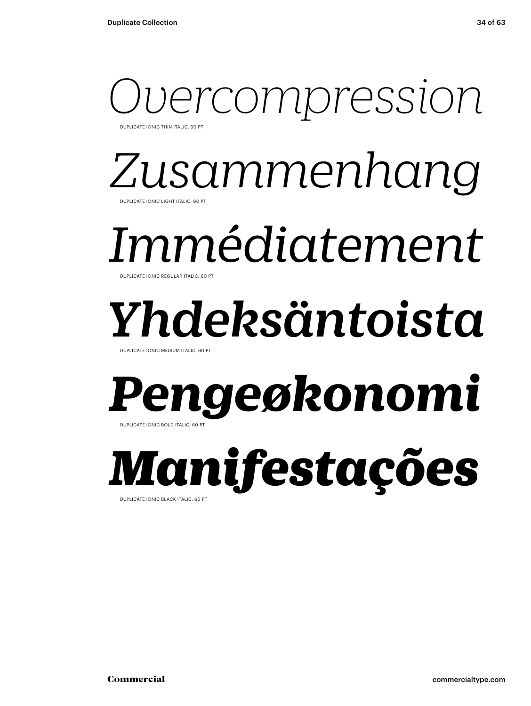### ercompression DUPLICATE IONIC THIN ITALIC, 60 PT

*Zusammenhang* DUPLICATE IONIC LIGHT ITALIC, 60 PT

### *Immédiatement*

DUPLICATE IONIC REGULAR ITALIC, 60 PT

## *Yhdeksäntoista*

DUPLICATE IONIC MEDIUM ITALIC, 60 P

### *Pengeøkonomi* DUPLICATE IONIC BOLD ITALIC, 60 PT

*Manifestações*  DUPLICATE IONIC BLACK ITALIC, 60 PT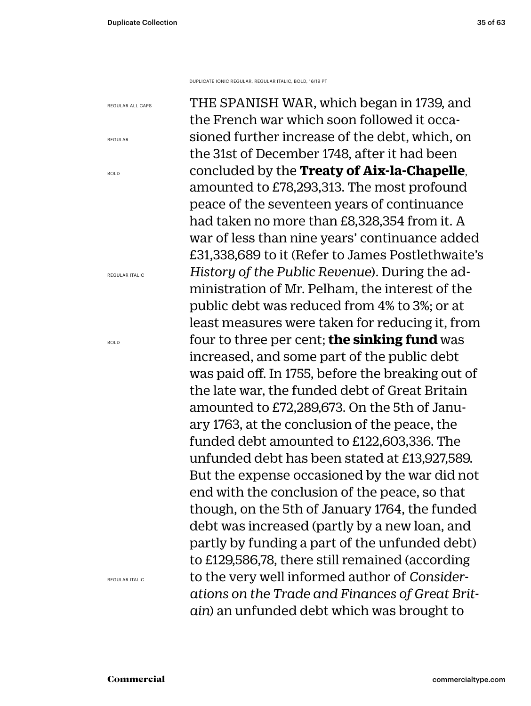DUPLICATE IONIC REGULAR, REGULAR ITALIC, BOLD, 16/19 PT

REGULAR ALL CAPS

REGULAR

BOLD

REGULAR ITALIC

BOLD

THE SPANISH WAR, which began in 1739, and the French war which soon followed it occasioned further increase of the debt, which, on the 31st of December 1748, after it had been concluded by the **Treaty of Aix-la-Chapelle**, amounted to £78,293,313. The most profound peace of the seventeen years of continuance had taken no more than £8,328,354 from it. A war of less than nine years' continuance added £31,338,689 to it (Refer to James Postlethwaite's *History of the Public Revenue*). During the administration of Mr. Pelham, the interest of the public debt was reduced from 4% to 3%; or at least measures were taken for reducing it, from four to three per cent; **the sinking fund** was increased, and some part of the public debt was paid off. In 1755, before the breaking out of the late war, the funded debt of Great Britain amounted to £72,289,673. On the 5th of January 1763, at the conclusion of the peace, the funded debt amounted to £122,603,336. The unfunded debt has been stated at £13,927,589. But the expense occasioned by the war did not end with the conclusion of the peace, so that though, on the 5th of January 1764, the funded debt was increased (partly by a new loan, and partly by funding a part of the unfunded debt) to £129,586,78, there still remained (according to the very well informed author of *Considerations on the Trade and Finances of Great Britain*) an unfunded debt which was brought to

REGULAR ITALIC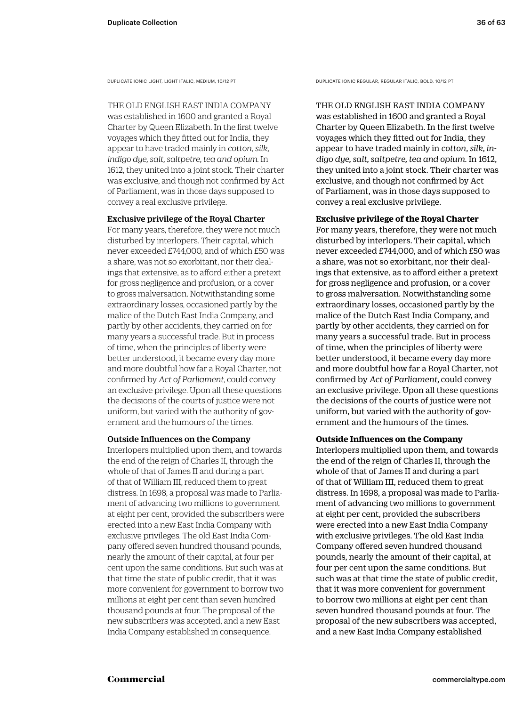DUPLICATE IONIC LIGHT, LIGHT ITALIC, MEDIUM, 10/12 PT

THE OLD ENGLISH EAST INDIA COMPANY

was established in 1600 and granted a Royal Charter by Queen Elizabeth. In the first twelve voyages which they fitted out for India, they appear to have traded mainly in *cotton, silk, indigo dye, salt, saltpetre, tea and opium*. In 1612, they united into a joint stock. Their charter was exclusive, and though not confirmed by Act of Parliament, was in those days supposed to convey a real exclusive privilege.

### Exclusive privilege of the Royal Charter

For many years, therefore, they were not much disturbed by interlopers. Their capital, which never exceeded £744,000, and of which £50 was a share, was not so exorbitant, nor their dealings that extensive, as to afford either a pretext for gross negligence and profusion, or a cover to gross malversation. Notwithstanding some extraordinary losses, occasioned partly by the malice of the Dutch East India Company, and partly by other accidents, they carried on for many years a successful trade. But in process of time, when the principles of liberty were better understood, it became every day more and more doubtful how far a Royal Charter, not confirmed by *Act of Parliament*, could convey an exclusive privilege. Upon all these questions the decisions of the courts of justice were not uniform, but varied with the authority of government and the humours of the times.

### Outside Influences on the Company

Interlopers multiplied upon them, and towards the end of the reign of Charles II, through the whole of that of James II and during a part of that of William III, reduced them to great distress. In 1698, a proposal was made to Parliament of advancing two millions to government at eight per cent, provided the subscribers were erected into a new East India Company with exclusive privileges. The old East India Company offered seven hundred thousand pounds, nearly the amount of their capital, at four per cent upon the same conditions. But such was at that time the state of public credit, that it was more convenient for government to borrow two millions at eight per cent than seven hundred thousand pounds at four. The proposal of the new subscribers was accepted, and a new East India Company established in consequence.

DUPLICATE IONIC REGULAR, REGULAR ITALIC, BOLD, 10/12 PT

### THE OLD ENGLISH EAST INDIA COMPANY was established in 1600 and granted a Royal Charter by Queen Elizabeth. In the first twelve voyages which they fitted out for India, they appear to have traded mainly in *cotton, silk, indigo dye, salt, saltpetre, tea and opium*. In 1612, they united into a joint stock. Their charter was exclusive, and though not confirmed by Act of Parliament, was in those days supposed to convey a real exclusive privilege.

### **Exclusive privilege of the Royal Charter**

For many years, therefore, they were not much disturbed by interlopers. Their capital, which never exceeded £744,000, and of which £50 was a share, was not so exorbitant, nor their dealings that extensive, as to afford either a pretext for gross negligence and profusion, or a cover to gross malversation. Notwithstanding some extraordinary losses, occasioned partly by the malice of the Dutch East India Company, and partly by other accidents, they carried on for many years a successful trade. But in process of time, when the principles of liberty were better understood, it became every day more and more doubtful how far a Royal Charter, not confirmed by *Act of Parliament,* could convey an exclusive privilege. Upon all these questions the decisions of the courts of justice were not uniform, but varied with the authority of government and the humours of the times.

### **Outside Influences on the Company**

Interlopers multiplied upon them, and towards the end of the reign of Charles II, through the whole of that of James II and during a part of that of William III, reduced them to great distress. In 1698, a proposal was made to Parliament of advancing two millions to government at eight per cent, provided the subscribers were erected into a new East India Company with exclusive privileges. The old East India Company offered seven hundred thousand pounds, nearly the amount of their capital, at four per cent upon the same conditions. But such was at that time the state of public credit, that it was more convenient for government to borrow two millions at eight per cent than seven hundred thousand pounds at four. The proposal of the new subscribers was accepted, and a new East India Company established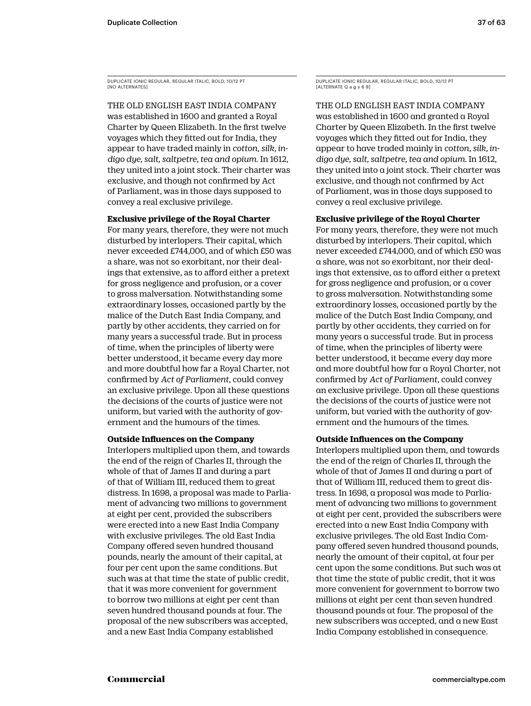DUPLICATE IONIC REGULAR, REGULAR ITALIC, BOLD, 10/12 PT [NO ALTERNATES]

THE OLD ENGLISH EAST INDIA COMPANY was established in 1600 and granted a Royal Charter by Queen Elizabeth. In the first twelve voyages which they fitted out for India, they appear to have traded mainly in *cotton, silk, indigo dye, salt, saltpetre, tea and opium*. In 1612, they united into a joint stock. Their charter was exclusive, and though not confirmed by Act of Parliament, was in those days supposed to convey a real exclusive privilege.

### **Exclusive privilege of the Royal Charter**

For many years, therefore, they were not much disturbed by interlopers. Their capital, which never exceeded £744,000, and of which £50 was a share, was not so exorbitant, nor their dealings that extensive, as to afford either a pretext for gross negligence and profusion, or a cover to gross malversation. Notwithstanding some extraordinary losses, occasioned partly by the malice of the Dutch East India Company, and partly by other accidents, they carried on for many years a successful trade. But in process of time, when the principles of liberty were better understood, it became every day more and more doubtful how far a Royal Charter, not confirmed by *Act of Parliament*, could convey an exclusive privilege. Upon all these questions the decisions of the courts of justice were not uniform, but varied with the authority of government and the humours of the times.

### **Outside Influences on the Company**

Interlopers multiplied upon them, and towards the end of the reign of Charles II, through the whole of that of James II and during a part of that of William III, reduced them to great distress. In 1698, a proposal was made to Parliament of advancing two millions to government at eight per cent, provided the subscribers were erected into a new East India Company with exclusive privileges. The old East India Company offered seven hundred thousand pounds, nearly the amount of their capital, at four per cent upon the same conditions. But such was at that time the state of public credit, that it was more convenient for government to borrow two millions at eight per cent than seven hundred thousand pounds at four. The proposal of the new subscribers was accepted, and a new East India Company established

DUPLICATE IONIC REGULAR, REGULAR ITALIC, BOLD, 10/12 PT [ALTERNATE Q a g y 6 9]

THE OLD ENGLISH EAST INDIA COMPANY was established in 1600 and granted a Royal Charter by Queen Elizabeth. In the first twelve voyages which they fitted out for India, they appear to have traded mainly in *cotton, silk, indigo dye, salt, saltpetre, tea and opium*. In 1612, they united into a joint stock. Their charter was exclusive, and though not confirmed by Act of Parliament, was in those days supposed to convey a real exclusive privilege.

### **Exclusive privilege of the Royal Charter**

For many years, therefore, they were not much disturbed by interlopers. Their capital, which never exceeded £744,000, and of which £50 was a share, was not so exorbitant, nor their dealings that extensive, as to afford either a pretext for gross negligence and profusion, or a cover to gross malversation. Notwithstanding some extraordinary losses, occasioned partly by the malice of the Dutch East India Company, and partly by other accidents, they carried on for many years a successful trade. But in process of time, when the principles of liberty were better understood, it became every day more and more doubtful how far a Royal Charter, not confirmed by *Act of Parliament*, could convey an exclusive privilege. Upon all these questions the decisions of the courts of justice were not uniform, but varied with the authority of government and the humours of the times.

### **Outside Influences on the Company**

Interlopers multiplied upon them, and towards the end of the reign of Charles II, through the whole of that of James II and during a part of that of William III, reduced them to great distress. In 1698, a proposal was made to Parliament of advancing two millions to government at eight per cent, provided the subscribers were erected into a new East India Company with exclusive privileges. The old East India Company offered seven hundred thousand pounds, nearly the amount of their capital, at four per cent upon the same conditions. But such was at that time the state of public credit, that it was more convenient for government to borrow two millions at eight per cent than seven hundred thousand pounds at four. The proposal of the new subscribers was accepted, and a new East India Company established in consequence.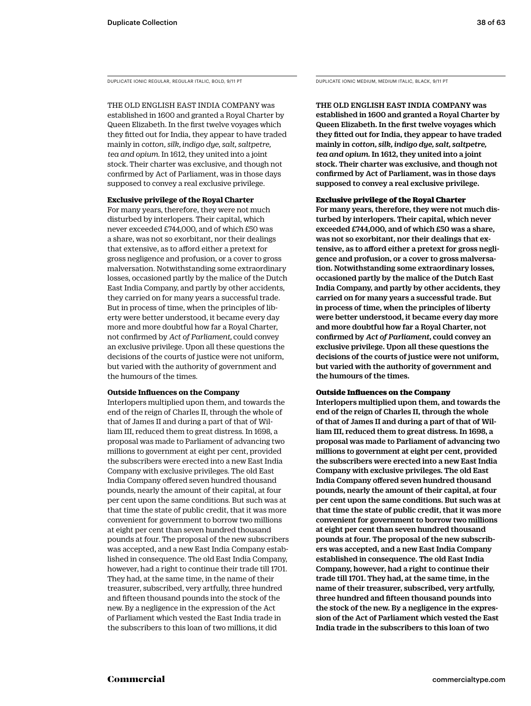DUPLICATE IONIC REGULAR, REGULAR ITALIC, BOLD, 9/11 PT DUPLICATE IONIC MEDIUM, MEDIUM ITALIC, BLACK, 9/11 PT

THE OLD ENGLISH EAST INDIA COMPANY was established in 1600 and granted a Royal Charter by Queen Elizabeth. In the first twelve voyages which they fitted out for India, they appear to have traded mainly in *cotton, silk, indigo dye, salt, saltpetre, tea and opium*. In 1612, they united into a joint stock. Their charter was exclusive, and though not confirmed by Act of Parliament, was in those days supposed to convey a real exclusive privilege.

### **Exclusive privilege of the Royal Charter**

For many years, therefore, they were not much disturbed by interlopers. Their capital, which never exceeded £744,000, and of which £50 was a share, was not so exorbitant, nor their dealings that extensive, as to afford either a pretext for gross negligence and profusion, or a cover to gross malversation. Notwithstanding some extraordinary losses, occasioned partly by the malice of the Dutch East India Company, and partly by other accidents, they carried on for many years a successful trade. But in process of time, when the principles of liberty were better understood, it became every day more and more doubtful how far a Royal Charter, not confirmed by *Act of Parliament,* could convey an exclusive privilege. Upon all these questions the decisions of the courts of justice were not uniform, but varied with the authority of government and the humours of the times.

### **Outside Influences on the Company**

Interlopers multiplied upon them, and towards the end of the reign of Charles II, through the whole of that of James II and during a part of that of William III, reduced them to great distress. In 1698, a proposal was made to Parliament of advancing two millions to government at eight per cent, provided the subscribers were erected into a new East India Company with exclusive privileges. The old East India Company offered seven hundred thousand pounds, nearly the amount of their capital, at four per cent upon the same conditions. But such was at that time the state of public credit, that it was more convenient for government to borrow two millions at eight per cent than seven hundred thousand pounds at four. The proposal of the new subscribers was accepted, and a new East India Company established in consequence. The old East India Company, however, had a right to continue their trade till 1701. They had, at the same time, in the name of their treasurer, subscribed, very artfully, three hundred and fifteen thousand pounds into the stock of the new. By a negligence in the expression of the Act of Parliament which vested the East India trade in the subscribers to this loan of two millions, it did

THE OLD ENGLISH EAST INDIA COMPANY was established in 1600 and granted a Royal Charter by Queen Elizabeth. In the first twelve voyages which they fitted out for India, they appear to have traded mainly in *cotton, silk, indigo dye, salt, saltpetre, tea and opium*. In 1612, they united into a joint stock. Their charter was exclusive, and though not confirmed by Act of Parliament, was in those days supposed to convey a real exclusive privilege.

### Exclusive privilege of the Royal Charter

For many years, therefore, they were not much disturbed by interlopers. Their capital, which never exceeded £744,000, and of which £50 was a share, was not so exorbitant, nor their dealings that extensive, as to afford either a pretext for gross negligence and profusion, or a cover to gross malversation. Notwithstanding some extraordinary losses, occasioned partly by the malice of the Dutch East India Company, and partly by other accidents, they carried on for many years a successful trade. But in process of time, when the principles of liberty were better understood, it became every day more and more doubtful how far a Royal Charter, not confirmed by *Act of Parliament*, could convey an exclusive privilege. Upon all these questions the decisions of the courts of justice were not uniform, but varied with the authority of government and the humours of the times.

### Outside Influences on the Company

Interlopers multiplied upon them, and towards the end of the reign of Charles II, through the whole of that of James II and during a part of that of William III, reduced them to great distress. In 1698, a proposal was made to Parliament of advancing two millions to government at eight per cent, provided the subscribers were erected into a new East India Company with exclusive privileges. The old East India Company offered seven hundred thousand pounds, nearly the amount of their capital, at four per cent upon the same conditions. But such was at that time the state of public credit, that it was more convenient for government to borrow two millions at eight per cent than seven hundred thousand pounds at four. The proposal of the new subscribers was accepted, and a new East India Company established in consequence. The old East India Company, however, had a right to continue their trade till 1701. They had, at the same time, in the name of their treasurer, subscribed, very artfully, three hundred and fifteen thousand pounds into the stock of the new. By a negligence in the expression of the Act of Parliament which vested the East India trade in the subscribers to this loan of two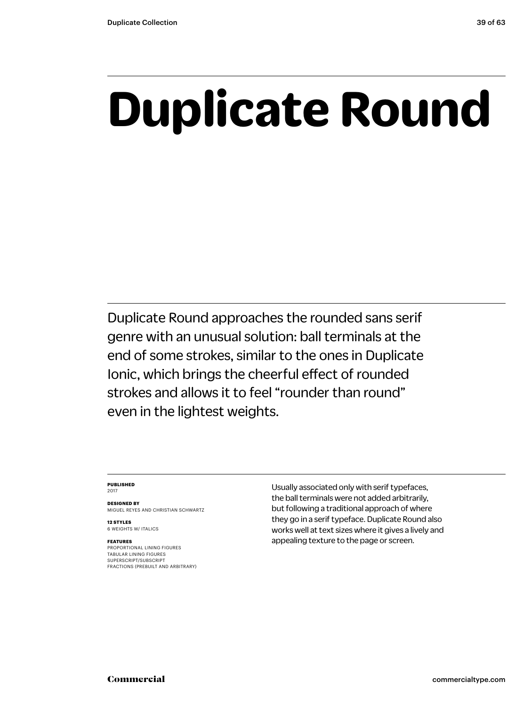## **Duplicate Round**

Duplicate Round approaches the rounded sans serif genre with an unusual solution: ball terminals at the end of some strokes, similar to the ones in Duplicate Ionic, which brings the cheerful effect of rounded strokes and allows it to feel "rounder than round" even in the lightest weights.

### **PUBLISHED** 2017

**DESIGNED BY** MIGUEL REYES AND CHRISTIAN SCHWARTZ

**12 STYLES** 6 WEIGHTS W/ ITALICS

### **FEATURES**

PROPORTIONAL LINING FIGURES TABULAR LINING FIGURES SUPERSCRIPT/SUBSCRIPT FRACTIONS (PREBUILT AND ARBITRARY) Usually associated only with serif typefaces, the ball terminals were not added arbitrarily, but following a traditional approach of where they go in a serif typeface. Duplicate Round also works well at text sizes where it gives a lively and appealing texture to the page or screen.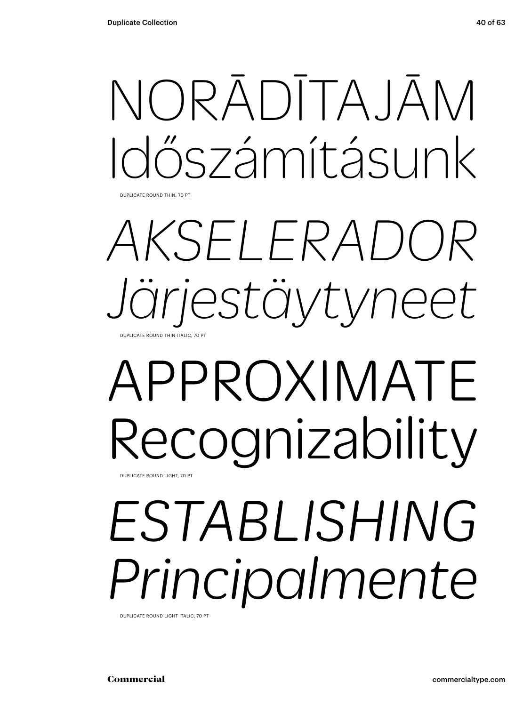DUPLICATE ROUND THIN, 70 PT

### *AKSELERADOR Järjestäytyneet* DUPLICATE ROUND THIN ITALIC, 70 PT

### APPROXIMATE Recognizability DUPLICATE ROUND LIGHT, 70 PT

## *ESTABLISHING Principalmente*

DUPLICATE ROUND LIGHT ITALIC, 70 PT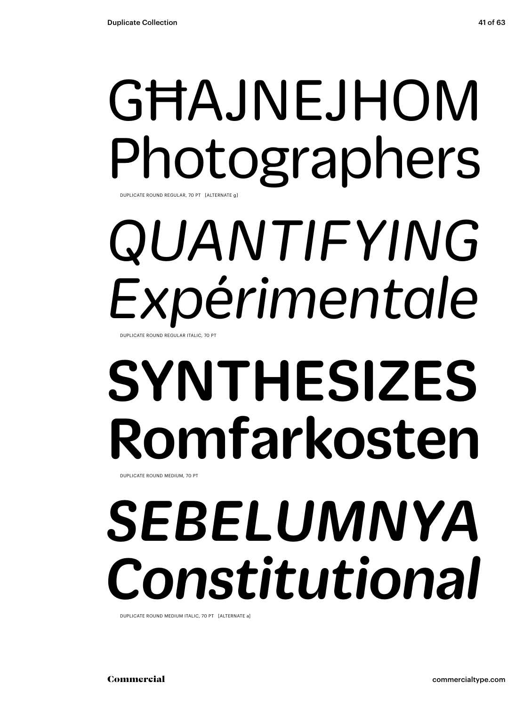### GĦAJNEJHOM Photographers DUPLICATE ROUND REGULAR, 70 PT [ALTERNATE

# *QUANTIFYING Expérimentale*

DUPLICATE ROUND REGULAR ITALIC, 70 PT

## SYNTHESIZES Romfarkosten

DUPLICATE ROUND MEDIUM, 70 PT

## *SEBELUMNYA Constitutional*

DUPLICATE ROUND MEDIUM ITALIC, 70 PT [ALTERNATE a]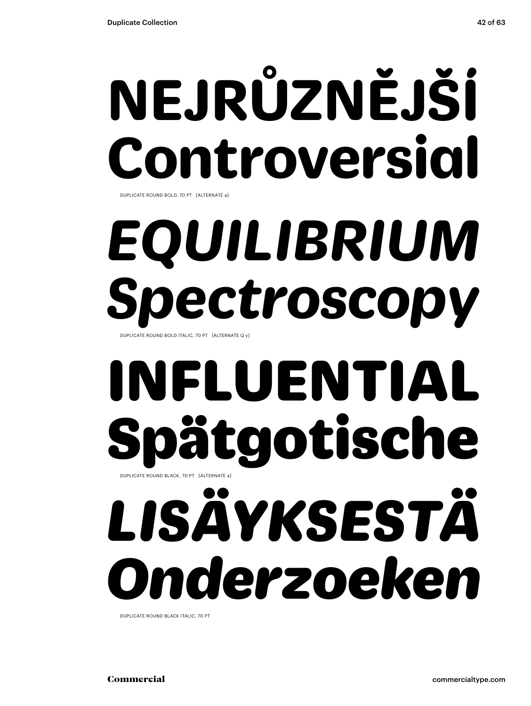# **NEJRŮZNĚJŠÍ Controversial**

DUPLICATE ROUND BOLD, 70 PT [ALTERNATE a]

# *EQUILIBRIUM Spectroscopy*

DUPLICATE ROUND BOLD ITALIC, 70 PT [ALTERNATE Q y]

### INFLUENTIAL ätgotische DUPLICATE ROUND BLACK, 70 PT [ALTERNATE a]

# *LISÄYKSESTÄ Onderzoeken*

DUPLICATE ROUND BLACK ITALIC, 70 PT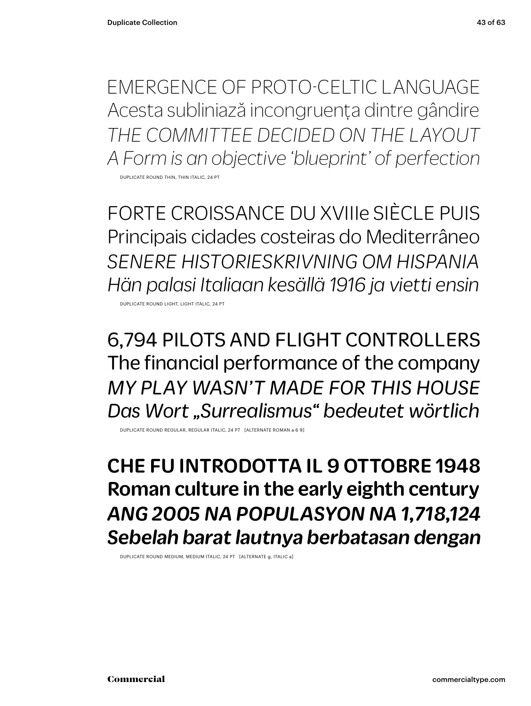EMERGENCE OF PROTO-CELTIC LANGUAGE Acesta subliniază incongruența dintre gândire *THE COMMITTEE DECIDED ON THE LAYOUT A Form is an objective 'blueprint' of perfection*

DUPLICATE ROUND THIN, THIN ITALIC, 24 PT

FORTE CROISSANCE DU XVIIIe SIÈCLE PUIS Principais cidades costeiras do Mediterrâneo *SENERE HISTORIESKRIVNING OM HISPANIA Hän palasi Italiaan kesällä 1916 ja vietti ensin*

DUPLICATE ROUND LIGHT, LIGHT ITALIC, 24 PT

6,794 PILOTS AND FLIGHT CONTROLLERS The financial performance of the company *MY PLAY WASN'T MADE FOR THIS HOUSE Das Wort "Surrealismus" bedeutet wörtlich*

DUPLICATE ROUND REGULAR, REGULAR ITALIC, 24 PT [ALTERNATE ROMAN a 6 9]

CHE FU INTRODOTTA IL 9 OTTOBRE 1948 Roman culture in the early eighth century *ANG 2005 NA POPULASYON NA 1,718,124 Sebelah barat lautnya berbatasan dengan*

DUPLICATE ROUND MEDIUM, MEDIUM ITALIC, 24 PT [ALTERNATE g, ITALIC a]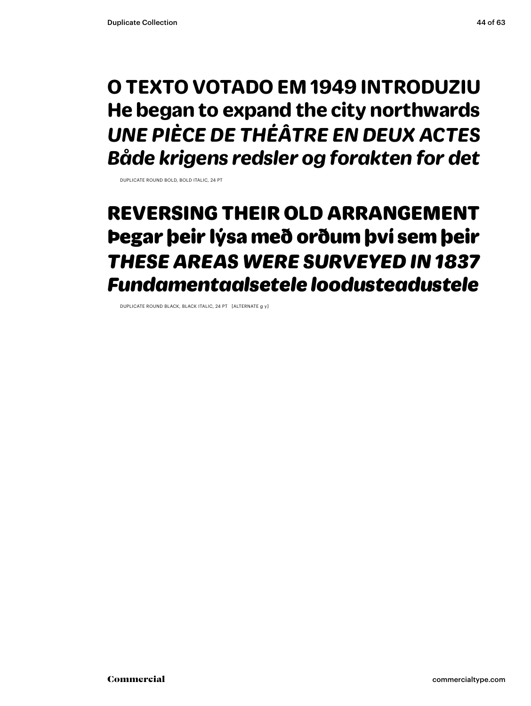### **O TEXTO VOTADO EM 1949 INTRODUZIU He began to expand the city northwards** *UNE PIÈCE DE THÉÂTRE EN DEUX ACTES Både krigens redsler og forakten for det*

DUPLICATE ROUND BOLD, BOLD ITALIC, 24 PT

### REVERSING THEIR OLD ARRANGEMENT Þegar þeir lýsa með orðum því sem þeir *THESE AREAS WERE SURVEYED IN 1837 Fundamentaalsetele loodusteadustele*

DUPLICATE ROUND BLACK, BLACK ITALIC, 24 PT [ALTERNATE g y]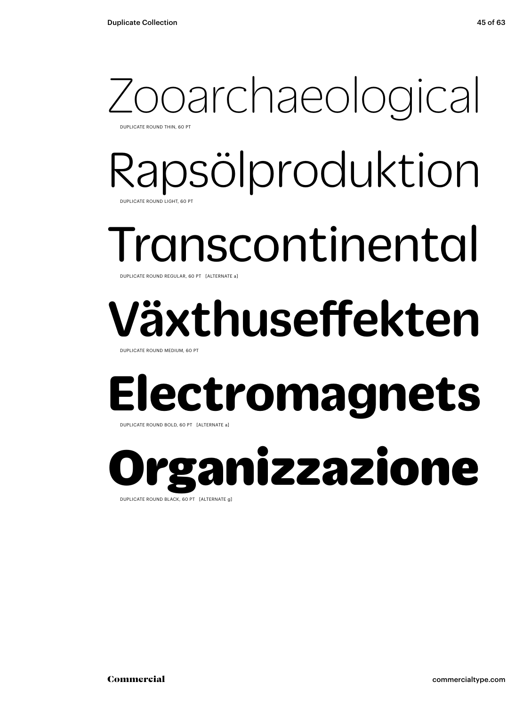### Zooarchaeological DUPLICATE ROUND THIN, 60 PT

Rapsölproduktion DUPLICATE ROUND LIGHT, 60 PT

### Transcontinental DUPLICATE ROUND REGULAR, 60 PT [ALTERNATE a]

## Växthuseffekten

DUPLICATE ROUND MEDIUM, 60 PT

### **Electromagnets**

DUPLICATE ROUND BOLD, 60 PT [ALTERNATE a]

ganizzazione DUPLICATE ROUND BLACK, 60 PT [ALTERNATE g]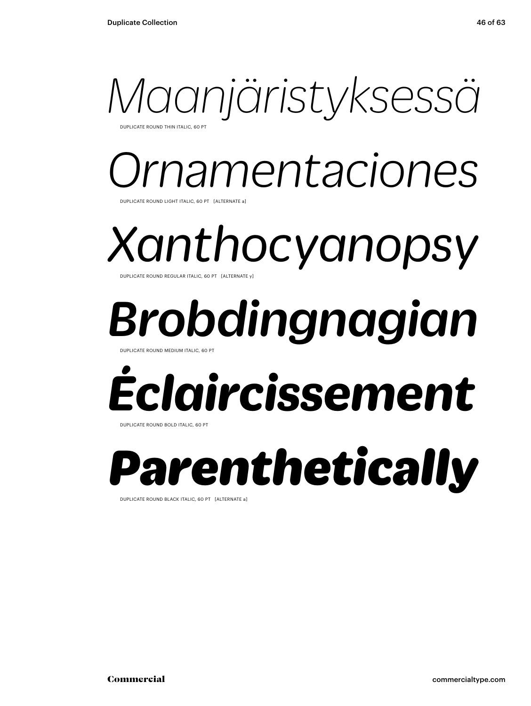

**UPLICATE ROUND THIN ITALIC, 60 PT** 

### *Ornamentaciones* DUPLICATE ROUND LIGHT ITALIC, 60 PT [ALTERNATE a]

*Xanthocyanopsy* DUPLICATE ROUND REGULAR ITALIC, 60 PT [ALTERNATE y]

## *Brobdingnagian*

DUPLICATE ROUND MEDIUM ITALIC, 60 PT

## *Éclaircissement*

DUPLICATE ROUND BOLD ITALIC, 60 PT

### *Parenthetically*

DUPLICATE ROUND BLACK ITALIC, 60 PT [ALTERNATE a]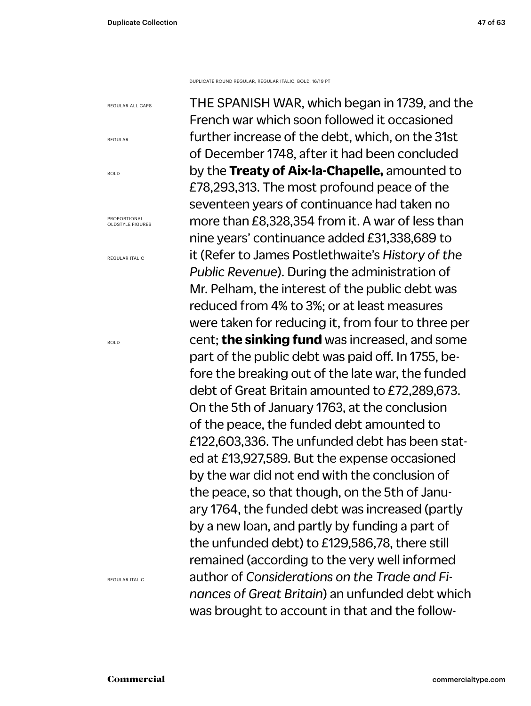DUPLICATE ROUND REGULAR, REGULAR ITALIC, BOLD, 16/19 PT

THE SPANISH WAR, which began in 1739, and the French war which soon followed it occasioned further increase of the debt, which, on the 31st of December 1748, after it had been concluded by the **Treaty of Aix-la-Chapelle,** amounted to £78,293,313. The most profound peace of the seventeen years of continuance had taken no more than £8,328,354 from it. A war of less than nine years' continuance added £31,338,689 to it (Refer to James Postlethwaite's *History of the Public Revenue*). During the administration of Mr. Pelham, the interest of the public debt was reduced from 4% to 3%; or at least measures were taken for reducing it, from four to three per cent; **the sinking fund** was increased, and some part of the public debt was paid off. In 1755, before the breaking out of the late war, the funded debt of Great Britain amounted to £72,289,673. On the 5th of January 1763, at the conclusion of the peace, the funded debt amounted to £122,603,336. The unfunded debt has been stated at £13,927,589. But the expense occasioned by the war did not end with the conclusion of the peace, so that though, on the 5th of January 1764, the funded debt was increased (partly by a new loan, and partly by funding a part of the unfunded debt) to £129,586,78, there still remained (according to the very well informed author of *Considerations on the Trade and Finances of Great Britain*) an unfunded debt which was brought to account in that and the follow-

REGULAR

REGULAR ALL CAPS

BOLD

PROPORTIONAL OLDSTYLE FIGURES

REGULAR ITALIC

BOLD

REGULAR ITALIC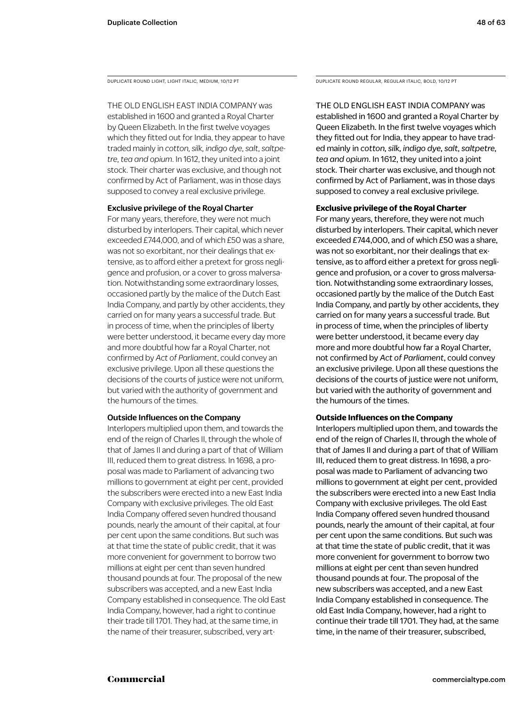THE OLD ENGLISH EAST INDIA COMPANY was

established in 1600 and granted a Royal Charter by Queen Elizabeth. In the first twelve voyages which they fitted out for India, they appear to have traded mainly in *cotton, silk, indigo dye, salt, saltpetre, tea and opium*. In 1612, they united into a joint stock. Their charter was exclusive, and though not confirmed by Act of Parliament, was in those days supposed to convey a real exclusive privilege.

### Exclusive privilege of the Royal Charter

For many years, therefore, they were not much disturbed by interlopers. Their capital, which never exceeded £744,000, and of which £50 was a share, was not so exorbitant, nor their dealings that extensive, as to afford either a pretext for gross negligence and profusion, or a cover to gross malversation. Notwithstanding some extraordinary losses, occasioned partly by the malice of the Dutch East India Company, and partly by other accidents, they carried on for many years a successful trade. But in process of time, when the principles of liberty were better understood, it became every day more and more doubtful how far a Royal Charter, not confirmed by *Act of Parliament*, could convey an exclusive privilege. Upon all these questions the decisions of the courts of justice were not uniform, but varied with the authority of government and the humours of the times.

### Outside Influences on the Company

Interlopers multiplied upon them, and towards the end of the reign of Charles II, through the whole of that of James II and during a part of that of William III, reduced them to great distress. In 1698, a proposal was made to Parliament of advancing two millions to government at eight per cent, provided the subscribers were erected into a new East India Company with exclusive privileges. The old East India Company offered seven hundred thousand pounds, nearly the amount of their capital, at four per cent upon the same conditions. But such was at that time the state of public credit, that it was more convenient for government to borrow two millions at eight per cent than seven hundred thousand pounds at four. The proposal of the new subscribers was accepted, and a new East India Company established in consequence. The old East India Company, however, had a right to continue their trade till 1701. They had, at the same time, in the name of their treasurer, subscribed, very art-

DUPLICATE ROUND LIGHT, LIGHT ITALIC, MEDIUM, 10/12 PT DUPLICATE ROUND REGULAR, REGULAR ITALIC, BOLD, 10/12 PT

THE OLD ENGLISH EAST INDIA COMPANY was established in 1600 and granted a Royal Charter by Queen Elizabeth. In the first twelve voyages which they fitted out for India, they appear to have traded mainly in *cotton, silk, indigo dye, salt, saltpetre, tea and opium*. In 1612, they united into a joint stock. Their charter was exclusive, and though not confirmed by Act of Parliament, was in those days supposed to convey a real exclusive privilege.

### **Exclusive privilege of the Royal Charter**

For many years, therefore, they were not much disturbed by interlopers. Their capital, which never exceeded £744,000, and of which £50 was a share, was not so exorbitant, nor their dealings that extensive, as to afford either a pretext for gross negligence and profusion, or a cover to gross malversation. Notwithstanding some extraordinary losses, occasioned partly by the malice of the Dutch East India Company, and partly by other accidents, they carried on for many years a successful trade. But in process of time, when the principles of liberty were better understood, it became every day more and more doubtful how far a Royal Charter, not confirmed by *Act of Parliament*, could convey an exclusive privilege. Upon all these questions the decisions of the courts of justice were not uniform, but varied with the authority of government and the humours of the times.

### **Outside Influences on the Company**

Interlopers multiplied upon them, and towards the end of the reign of Charles II, through the whole of that of James II and during a part of that of William III, reduced them to great distress. In 1698, a proposal was made to Parliament of advancing two millions to government at eight per cent, provided the subscribers were erected into a new East India Company with exclusive privileges. The old East India Company offered seven hundred thousand pounds, nearly the amount of their capital, at four per cent upon the same conditions. But such was at that time the state of public credit, that it was more convenient for government to borrow two millions at eight per cent than seven hundred thousand pounds at four. The proposal of the new subscribers was accepted, and a new East India Company established in consequence. The old East India Company, however, had a right to continue their trade till 1701. They had, at the same time, in the name of their treasurer, subscribed,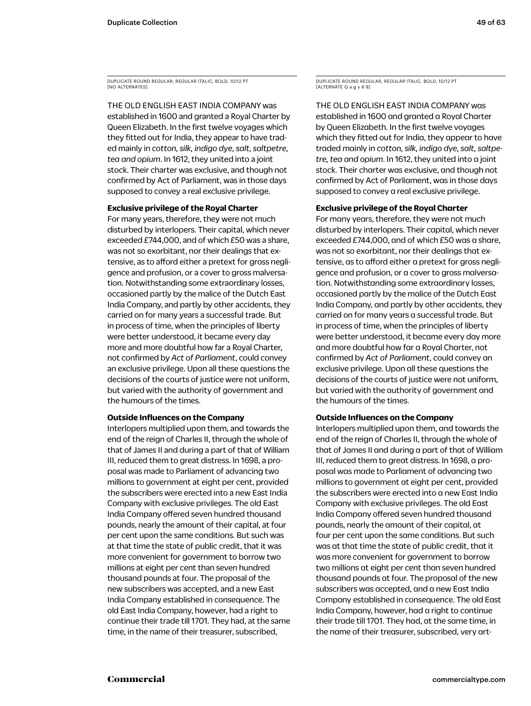DUPLICATE ROUND REGULAR, REGULAR ITALIC, BOLD, 10/12 PT [NO ALTERNATES]

THE OLD ENGLISH EAST INDIA COMPANY was established in 1600 and granted a Royal Charter by Queen Elizabeth. In the first twelve voyages which they fitted out for India, they appear to have traded mainly in *cotton, silk, indigo dye, salt, saltpetre, tea and opium*. In 1612, they united into a joint stock. Their charter was exclusive, and though not confirmed by Act of Parliament, was in those days supposed to convey a real exclusive privilege.

### **Exclusive privilege of the Royal Charter**

For many years, therefore, they were not much disturbed by interlopers. Their capital, which never exceeded £744,000, and of which £50 was a share, was not so exorbitant, nor their dealings that extensive, as to afford either a pretext for gross negligence and profusion, or a cover to gross malversation. Notwithstanding some extraordinary losses, occasioned partly by the malice of the Dutch East India Company, and partly by other accidents, they carried on for many years a successful trade. But in process of time, when the principles of liberty were better understood, it became every day more and more doubtful how far a Royal Charter, not confirmed by *Act of Parliament*, could convey an exclusive privilege. Upon all these questions the decisions of the courts of justice were not uniform, but varied with the authority of government and the humours of the times.

### **Outside Influences on the Company**

Interlopers multiplied upon them, and towards the end of the reign of Charles II, through the whole of that of James II and during a part of that of William III, reduced them to great distress. In 1698, a proposal was made to Parliament of advancing two millions to government at eight per cent, provided the subscribers were erected into a new East India Company with exclusive privileges. The old East India Company offered seven hundred thousand pounds, nearly the amount of their capital, at four per cent upon the same conditions. But such was at that time the state of public credit, that it was more convenient for government to borrow two millions at eight per cent than seven hundred thousand pounds at four. The proposal of the new subscribers was accepted, and a new East India Company established in consequence. The old East India Company, however, had a right to continue their trade till 1701. They had, at the same time, in the name of their treasurer, subscribed,

DUPLICATE ROUND REGULAR, REGULAR ITALIC, BOLD, 10/12 PT  $[ALTERNATEQaqy6]$ 

THE OLD ENGLISH EAST INDIA COMPANY was established in 1600 and granted a Royal Charter by Queen Elizabeth. In the first twelve voyages which they fitted out for India, they appear to have traded mainly in *cotton, silk, indigo dye, salt, saltpetre, tea and opium*. In 1612, they united into a joint stock. Their charter was exclusive, and though not confirmed by Act of Parliament, was in those days supposed to convey a real exclusive privilege.

### **Exclusive privilege of the Royal Charter**

For many years, therefore, they were not much disturbed by interlopers. Their capital, which never exceeded £744,000, and of which £50 was a share, was not so exorbitant, nor their dealings that extensive, as to afford either a pretext for gross negligence and profusion, or a cover to gross malversation. Notwithstanding some extraordinary losses, occasioned partly by the malice of the Dutch East India Company, and partly by other accidents, they carried on for many years a successful trade. But in process of time, when the principles of liberty were better understood, it became every day more and more doubtful how far a Royal Charter, not confirmed by *Act of Parliament*, could convey an exclusive privilege. Upon all these questions the decisions of the courts of justice were not uniform, but varied with the authority of government and the humours of the times.

### **Outside Influences on the Company**

Interlopers multiplied upon them, and towards the end of the reign of Charles II, through the whole of that of James II and during a part of that of William III, reduced them to great distress. In 1698, a proposal was made to Parliament of advancing two millions to government at eight per cent, provided the subscribers were erected into a new East India Company with exclusive privileges. The old East India Company offered seven hundred thousand pounds, nearly the amount of their capital, at four per cent upon the same conditions. But such was at that time the state of public credit, that it was more convenient for government to borrow two millions at eight per cent than seven hundred thousand pounds at four. The proposal of the new subscribers was accepted, and a new East India Company established in consequence. The old East India Company, however, had a right to continue their trade till 1701. They had, at the same time, in the name of their treasurer, subscribed, very art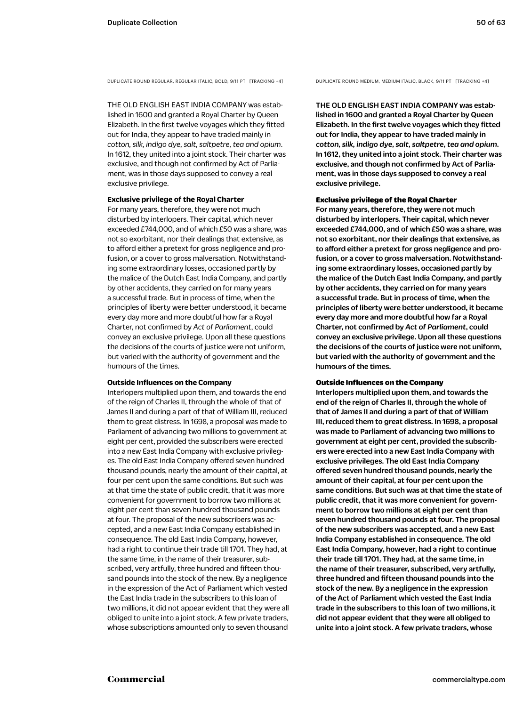DUPLICATE ROUND REGULAR, REGULAR ITALIC, BOLD, 9/11 PT [TRACKING +4] DUPLICATE ROUND MEDIUM, MEDIUM ITALIC, BLACK, 9/11 PT [TRACKING +4]

THE OLD ENGLISH EAST INDIA COMPANY was established in 1600 and granted a Royal Charter by Queen Elizabeth. In the first twelve voyages which they fitted out for India, they appear to have traded mainly in *cotton, silk, indigo dye, salt, saltpetre, tea and opium*. In 1612, they united into a joint stock. Their charter was exclusive, and though not confirmed by Act of Parliament, was in those days supposed to convey a real exclusive privilege.

### **Exclusive privilege of the Royal Charter**

For many years, therefore, they were not much disturbed by interlopers. Their capital, which never exceeded £744,000, and of which £50 was a share, was not so exorbitant, nor their dealings that extensive, as to afford either a pretext for gross negligence and profusion, or a cover to gross malversation. Notwithstanding some extraordinary losses, occasioned partly by the malice of the Dutch East India Company, and partly by other accidents, they carried on for many years a successful trade. But in process of time, when the principles of liberty were better understood, it became every day more and more doubtful how far a Royal Charter, not confirmed by *Act of Parliament*, could convey an exclusive privilege. Upon all these questions the decisions of the courts of justice were not uniform, but varied with the authority of government and the humours of the times.

### **Outside Influences on the Company**

Interlopers multiplied upon them, and towards the end of the reign of Charles II, through the whole of that of James II and during a part of that of William III, reduced them to great distress. In 1698, a proposal was made to Parliament of advancing two millions to government at eight per cent, provided the subscribers were erected into a new East India Company with exclusive privileges. The old East India Company offered seven hundred thousand pounds, nearly the amount of their capital, at four per cent upon the same conditions. But such was at that time the state of public credit, that it was more convenient for government to borrow two millions at eight per cent than seven hundred thousand pounds at four. The proposal of the new subscribers was accepted, and a new East India Company established in consequence. The old East India Company, however, had a right to continue their trade till 1701. They had, at the same time, in the name of their treasurer, subscribed, very artfully, three hundred and fifteen thousand pounds into the stock of the new. By a negligence in the expression of the Act of Parliament which vested the East India trade in the subscribers to this loan of two millions, it did not appear evident that they were all obliged to unite into a joint stock. A few private traders, whose subscriptions amounted only to seven thousand

THE OLD ENGLISH EAST INDIA COMPANY was established in 1600 and granted a Royal Charter by Queen Elizabeth. In the first twelve voyages which they fitted out for India, they appear to have traded mainly in *cotton, silk, indigo dye, salt, saltpetre, tea and opium*. In 1612, they united into a joint stock. Their charter was exclusive, and though not confirmed by Act of Parliament, was in those days supposed to convey a real exclusive privilege.

### Exclusive privilege of the Royal Charter

For many years, therefore, they were not much disturbed by interlopers. Their capital, which never exceeded £744,000, and of which £50 was a share, was not so exorbitant, nor their dealings that extensive, as to afford either a pretext for gross negligence and profusion, or a cover to gross malversation. Notwithstanding some extraordinary losses, occasioned partly by the malice of the Dutch East India Company, and partly by other accidents, they carried on for many years a successful trade. But in process of time, when the principles of liberty were better understood, it became every day more and more doubtful how far a Royal Charter, not confirmed by *Act of Parliament*, could convey an exclusive privilege. Upon all these questions the decisions of the courts of justice were not uniform, but varied with the authority of government and the humours of the times.

### Outside Influences on the Company

Interlopers multiplied upon them, and towards the end of the reign of Charles II, through the whole of that of James II and during a part of that of William III, reduced them to great distress. In 1698, a proposal was made to Parliament of advancing two millions to government at eight per cent, provided the subscribers were erected into a new East India Company with exclusive privileges. The old East India Company offered seven hundred thousand pounds, nearly the amount of their capital, at four per cent upon the same conditions. But such was at that time the state of public credit, that it was more convenient for government to borrow two millions at eight per cent than seven hundred thousand pounds at four. The proposal of the new subscribers was accepted, and a new East India Company established in consequence. The old East India Company, however, had a right to continue their trade till 1701. They had, at the same time, in the name of their treasurer, subscribed, very artfully, three hundred and fifteen thousand pounds into the stock of the new. By a negligence in the expression of the Act of Parliament which vested the East India trade in the subscribers to this loan of two millions, it did not appear evident that they were all obliged to unite into a joint stock. A few private traders, whose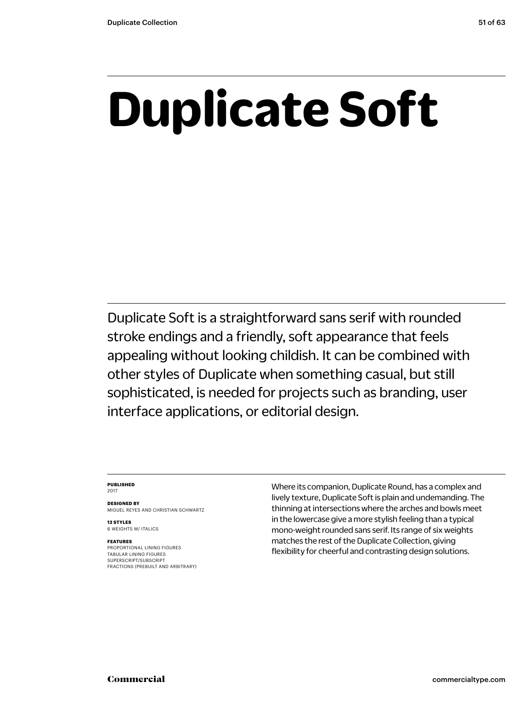## **Duplicate Soft**

Duplicate Soft is a straightforward sans serif with rounded stroke endings and a friendly, soft appearance that feels appealing without looking childish. It can be combined with other styles of Duplicate when something casual, but still sophisticated, is needed for projects such as branding, user interface applications, or editorial design.

### **PUBLISHED** 2017

**DESIGNED BY** MIGUEL REYES AND CHRISTIAN SCHWARTZ

**12 STYLES** 6 WEIGHTS W/ ITALICS

### **FEATURES**

PROPORTIONAL LINING FIGURES TABULAR LINING FIGURES SUPERSCRIPT/SUBSCRIPT FRACTIONS (PREBUILT AND ARBITRARY) Where its companion, Duplicate Round, has a complex and lively texture, Duplicate Soft is plain and undemanding. The thinning at intersections where the arches and bowls meet in the lowercase give a more stylish feeling than a typical mono-weight rounded sans serif. Its range of six weights matches the rest of the Duplicate Collection, giving flexibility for cheerful and contrasting design solutions.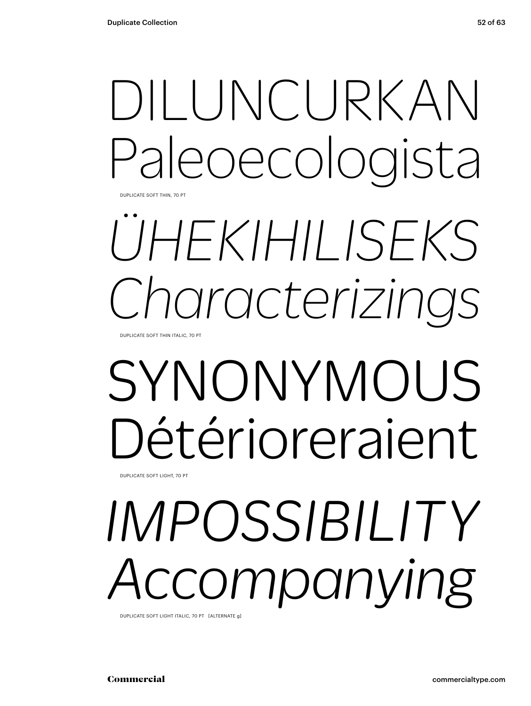## DILUNCURKAN Paleoecologista

DUPLICATE SOFT THIN, 70 PT

### *ÜHEKIHILISEKS Characterizings* DUPLICATE SOFT THIN ITALIC, 70 PT

## SYNONYMOUS Détérioreraient

DUPLICATE SOFT LIGHT, 70 PT

# *IMPOSSIBILITY* ccompanying

DUPLICATE SOFT LIGHT ITALIC, 70 PT [ALTERNATE g]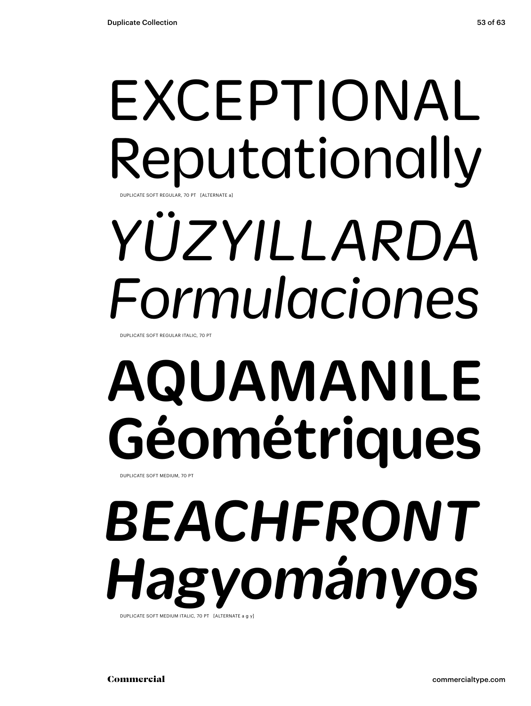### EXCEPTIONAL Reputationally DUPLICATE SOFT REGULAR, 70 PT [ALTERNATE a]

# *YÜZYILLARDA Formulaciones*

DUPLICATE SOFT REGULAR ITALIC, 70 PT

# AQUAMANILE Géométriques

DUPLICATE SOFT MEDIUM, 70 PT

### *BEACHFRONT Hagyományos* DUPLICATE SOFT MEDIUM ITALIC, 70 PT [ALTERNATE a g y]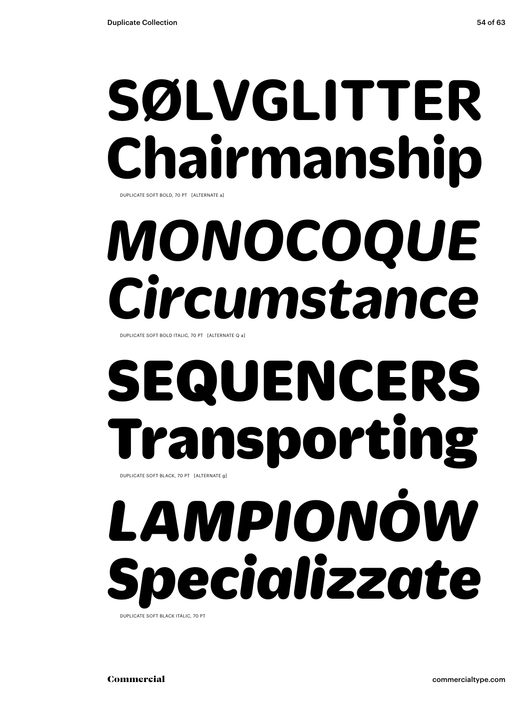### **SØLVGLITTER Chairmanship** DUPLICATE SOFT BOLD, 70 PT [ALTERNATE a]

## *MONOCOQUE Circumstance*

DUPLICATE SOFT BOLD ITALIC, 70 PT [ALTERNATE Q a]

### SEQUENCERS Transporting DUPLICATE SOFT BLACK, 70 PT [ALTERNATE g]

# *LAMPIONÓW Specializzate*

DUPLICATE SOFT BLACK ITALIC, 70 PT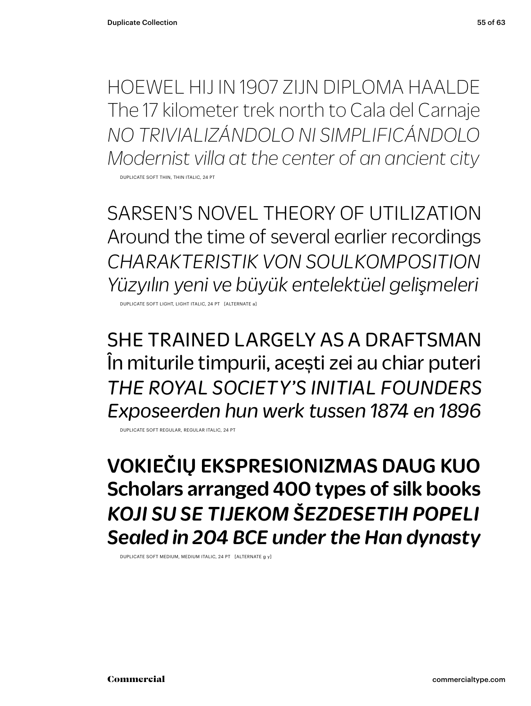HOEWEL HIJ IN 1907 ZIJN DIPLOMA HAALDE The 17 kilometer trek north to Cala del Carnaje *NO TRIVIALIZÁNDOLO NI SIMPLIFICÁNDOLO Modernist villa at the center of an ancient city* DUPLICATE SOFT THIN, THIN ITALIC, 24 PT

SARSEN'S NOVEL THEORY OF UTILIZATION Around the time of several earlier recordings *CHARAKTERISTIK VON SOULKOMPOSITION Yüzyılın yeni ve büyük entelektüel gelişmeleri*

DUPLICATE SOFT LIGHT, LIGHT ITALIC, 24 PT [ALTERNATE a]

SHE TRAINED LARGELY AS A DRAFTSMAN În miturile timpurii, acești zei au chiar puteri *THE ROYAL SOCIETY'S INITIAL FOUNDERS Exposeerden hun werk tussen 1874 en 1896*

DUPLICATE SOFT REGULAR, REGULAR ITALIC, 24 PT

VOKIEČIŲ EKSPRESIONIZMAS DAUG KUO Scholars arranged 400 types of silk books *KOJI SU SE TIJEKOM ŠEZDESETIH POPELI Sealed in 204 BCE under the Han dynasty*

DUPLICATE SOFT MEDIUM, MEDIUM ITALIC, 24 PT [ALTERNATE g y]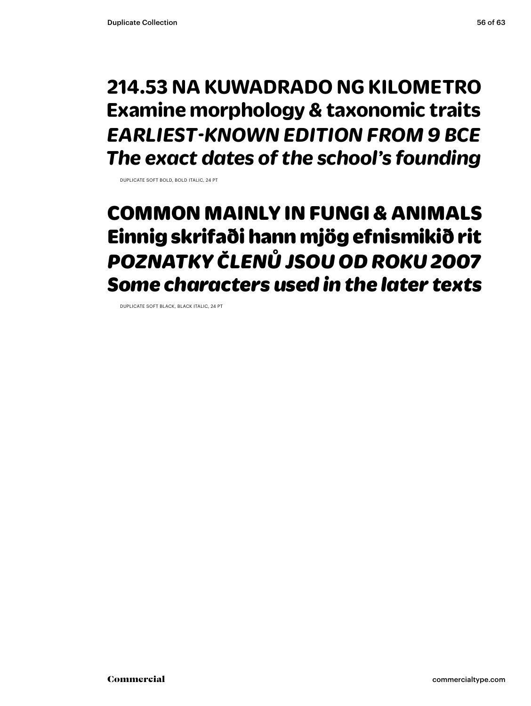### **214.53 NA KUWADRADO NG KILOMETRO Examine morphology & taxonomic traits** *EARLIEST-KNOWN EDITION FROM 9 BCE The exact dates of the school's founding*

DUPLICATE SOFT BOLD, BOLD ITALIC, 24 PT

### COMMON MAINLY IN FUNGI & ANIMALS Einnig skrifaði hann mjög efnismikið rit *POZNATKY ČLENŮ JSOU OD ROKU 2007 Some characters used in the later texts*

DUPLICATE SOFT BLACK, BLACK ITALIC, 24 PT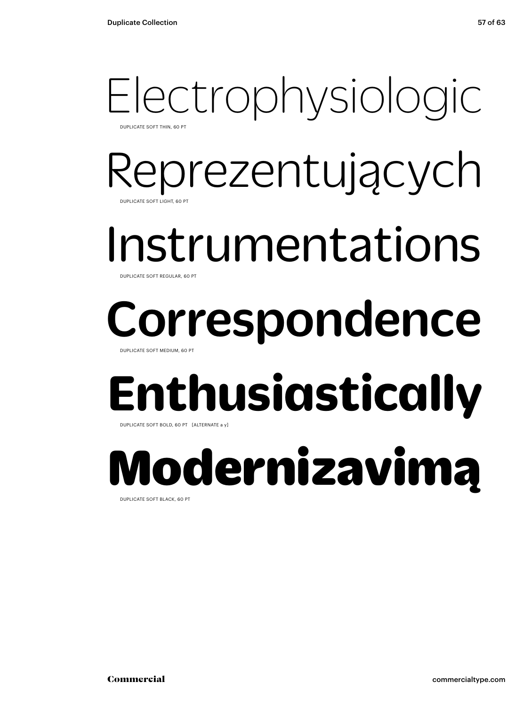### Electrophysiologic DUPLICATE SOFT THIN, 60 PT

Reprezentujących DUPLICATE SOFT LIGHT, 60 PT

Instrumentations

DUPLICATE SOFT REGULAR, 60

# Correspondence

DUPLICATE SOFT MEDIUM, 60 PT

# **Enthusiastically**

DUPLICATE SOFT BOLD, 60 PT [ALTERNATE a y]

### Modernizavimą DUPLICATE SOFT BLACK, 60 PT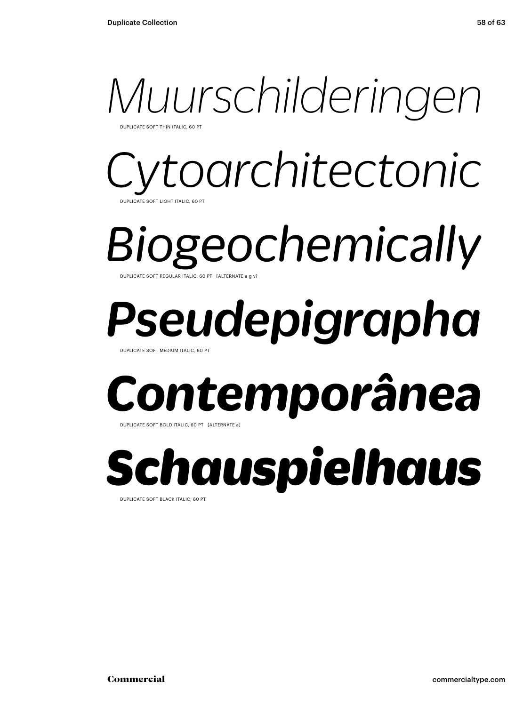### *Muurschilderingen*

UPLICATE SOFT THIN ITALIC, 60 P

### *Cytoarchitectonic*  **ATE SOFT LIGHT ITALIC, 60 PT**

*Biogeochemically* DUPLICATE SOFT REGULAR ITALIC, 60 PT [ALTERNATE a g y]

## *Pseudepigrapha*

DUPLICATE SOFT MEDIUM ITALIC, 60 PT

## *Contemporânea*

DUPLICATE SOFT BOLD ITALIC, 60 PT [ALTERNATE a]

*Schauspielhaus* DUPLICATE SOFT BLACK ITALIC, 60 PT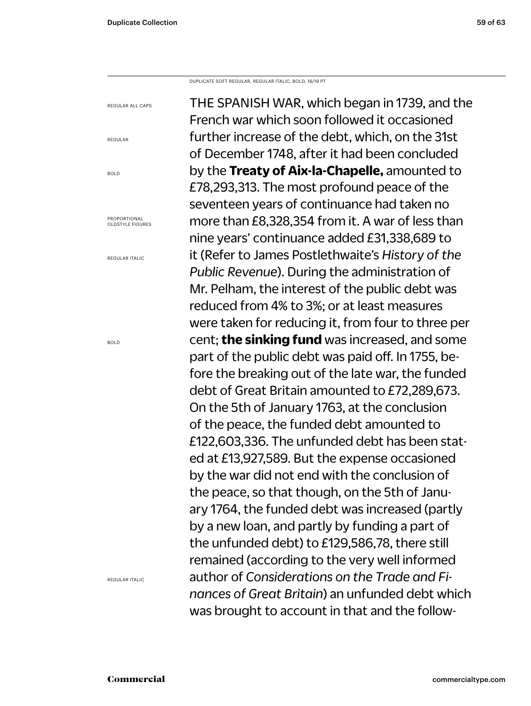REGULAR ALL CAPS

PROPORTIONAL OLDSTYLE FIGURES

REGULAR ITALIC

REGULAR

BOLD

DUPLICATE SOFT REGULAR, REGULAR ITALIC, BOLD, 16/19 PT

THE SPANISH WAR, which began in 1739, and the French war which soon followed it occasioned further increase of the debt, which, on the 31st of December 1748, after it had been concluded by the **Treaty of Aix-la-Chapelle,** amounted to £78,293,313. The most profound peace of the seventeen years of continuance had taken no more than £8,328,354 from it. A war of less than nine years' continuance added £31,338,689 to it (Refer to James Postlethwaite's *History of the Public Revenue*). During the administration of Mr. Pelham, the interest of the public debt was reduced from 4% to 3%; or at least measures were taken for reducing it, from four to three per cent; **the sinking fund** was increased, and some part of the public debt was paid off. In 1755, before the breaking out of the late war, the funded debt of Great Britain amounted to £72,289,673. On the 5th of January 1763, at the conclusion of the peace, the funded debt amounted to £122,603,336. The unfunded debt has been stated at £13,927,589. But the expense occasioned by the war did not end with the conclusion of the peace, so that though, on the 5th of January 1764, the funded debt was increased (partly by a new loan, and partly by funding a part of the unfunded debt) to £129,586,78, there still remained (according to the very well informed author of *Considerations on the Trade and Finances of Great Britain*) an unfunded debt which was brought to account in that and the follow-

BOLD

REGULAR ITALIC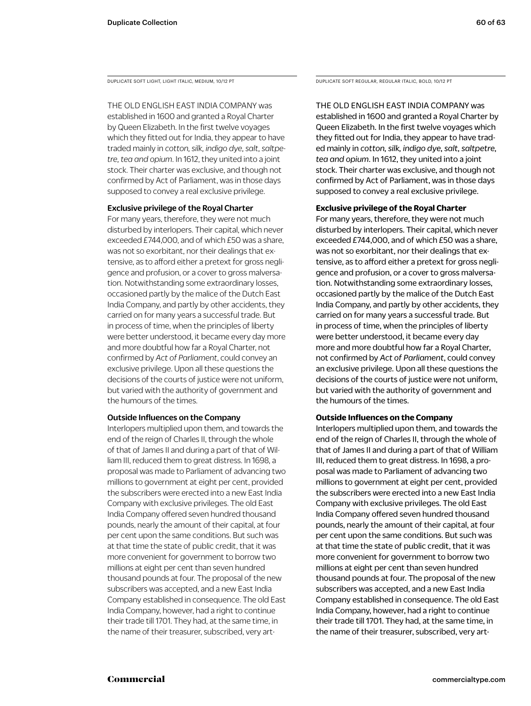THE OLD ENGLISH EAST INDIA COMPANY was established in 1600 and granted a Royal Charter by Queen Elizabeth. In the first twelve voyages which they fitted out for India, they appear to have traded mainly in *cotton, silk, indigo dye, salt, saltpetre, tea and opium*. In 1612, they united into a joint stock. Their charter was exclusive, and though not confirmed by Act of Parliament, was in those days supposed to convey a real exclusive privilege.

### Exclusive privilege of the Royal Charter

For many years, therefore, they were not much disturbed by interlopers. Their capital, which never exceeded £744,000, and of which £50 was a share, was not so exorbitant, nor their dealings that extensive, as to afford either a pretext for gross negligence and profusion, or a cover to gross malversation. Notwithstanding some extraordinary losses, occasioned partly by the malice of the Dutch East India Company, and partly by other accidents, they carried on for many years a successful trade. But in process of time, when the principles of liberty were better understood, it became every day more and more doubtful how far a Royal Charter, not confirmed by *Act of Parliament*, could convey an exclusive privilege. Upon all these questions the decisions of the courts of justice were not uniform, but varied with the authority of government and the humours of the times.

### Outside Influences on the Company

Interlopers multiplied upon them, and towards the end of the reign of Charles II, through the whole of that of James II and during a part of that of William III, reduced them to great distress. In 1698, a proposal was made to Parliament of advancing two millions to government at eight per cent, provided the subscribers were erected into a new East India Company with exclusive privileges. The old East India Company offered seven hundred thousand pounds, nearly the amount of their capital, at four per cent upon the same conditions. But such was at that time the state of public credit, that it was more convenient for government to borrow two millions at eight per cent than seven hundred thousand pounds at four. The proposal of the new subscribers was accepted, and a new East India Company established in consequence. The old East India Company, however, had a right to continue their trade till 1701. They had, at the same time, in the name of their treasurer, subscribed, very art-

DUPLICATE SOFT LIGHT, LIGHT ITALIC, MEDIUM, 10/12 PT DUPLICATE SOFT REGULAR, REGULAR ITALIC, BOLD, 10/12 PT

THE OLD ENGLISH EAST INDIA COMPANY was established in 1600 and granted a Royal Charter by Queen Elizabeth. In the first twelve voyages which they fitted out for India, they appear to have traded mainly in *cotton, silk, indigo dye, salt, saltpetre, tea and opium*. In 1612, they united into a joint stock. Their charter was exclusive, and though not confirmed by Act of Parliament, was in those days supposed to convey a real exclusive privilege.

### **Exclusive privilege of the Royal Charter**

For many years, therefore, they were not much disturbed by interlopers. Their capital, which never exceeded £744,000, and of which £50 was a share, was not so exorbitant, nor their dealings that extensive, as to afford either a pretext for gross negligence and profusion, or a cover to gross malversation. Notwithstanding some extraordinary losses, occasioned partly by the malice of the Dutch East India Company, and partly by other accidents, they carried on for many years a successful trade. But in process of time, when the principles of liberty were better understood, it became every day more and more doubtful how far a Royal Charter, not confirmed by *Act of Parliament*, could convey an exclusive privilege. Upon all these questions the decisions of the courts of justice were not uniform, but varied with the authority of government and the humours of the times.

### **Outside Influences on the Company**

Interlopers multiplied upon them, and towards the end of the reign of Charles II, through the whole of that of James II and during a part of that of William III, reduced them to great distress. In 1698, a proposal was made to Parliament of advancing two millions to government at eight per cent, provided the subscribers were erected into a new East India Company with exclusive privileges. The old East India Company offered seven hundred thousand pounds, nearly the amount of their capital, at four per cent upon the same conditions. But such was at that time the state of public credit, that it was more convenient for government to borrow two millions at eight per cent than seven hundred thousand pounds at four. The proposal of the new subscribers was accepted, and a new East India Company established in consequence. The old East India Company, however, had a right to continue their trade till 1701. They had, at the same time, in the name of their treasurer, subscribed, very art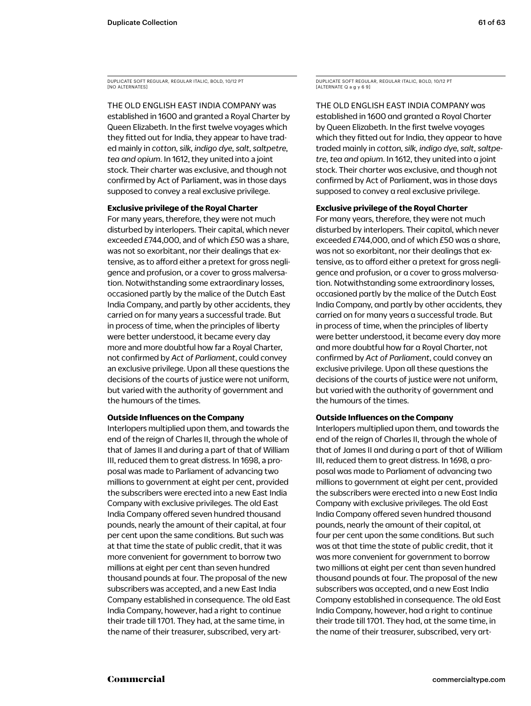DUPLICATE SOFT REGULAR, REGULAR ITALIC, BOLD, 10/12 PT [NO ALTERNATES]

THE OLD ENGLISH EAST INDIA COMPANY was established in 1600 and granted a Royal Charter by Queen Elizabeth. In the first twelve voyages which they fitted out for India, they appear to have traded mainly in *cotton, silk, indigo dye, salt, saltpetre, tea and opium*. In 1612, they united into a joint stock. Their charter was exclusive, and though not confirmed by Act of Parliament, was in those days supposed to convey a real exclusive privilege.

### **Exclusive privilege of the Royal Charter**

For many years, therefore, they were not much disturbed by interlopers. Their capital, which never exceeded £744,000, and of which £50 was a share, was not so exorbitant, nor their dealings that extensive, as to afford either a pretext for gross negligence and profusion, or a cover to gross malversation. Notwithstanding some extraordinary losses, occasioned partly by the malice of the Dutch East India Company, and partly by other accidents, they carried on for many years a successful trade. But in process of time, when the principles of liberty were better understood, it became every day more and more doubtful how far a Royal Charter, not confirmed by *Act of Parliament*, could convey an exclusive privilege. Upon all these questions the decisions of the courts of justice were not uniform, but varied with the authority of government and the humours of the times.

### **Outside Influences on the Company**

Interlopers multiplied upon them, and towards the end of the reign of Charles II, through the whole of that of James II and during a part of that of William III, reduced them to great distress. In 1698, a proposal was made to Parliament of advancing two millions to government at eight per cent, provided the subscribers were erected into a new East India Company with exclusive privileges. The old East India Company offered seven hundred thousand pounds, nearly the amount of their capital, at four per cent upon the same conditions. But such was at that time the state of public credit, that it was more convenient for government to borrow two millions at eight per cent than seven hundred thousand pounds at four. The proposal of the new subscribers was accepted, and a new East India Company established in consequence. The old East India Company, however, had a right to continue their trade till 1701. They had, at the same time, in the name of their treasurer, subscribed, very artDUPLICATE SOFT REGULAR, REGULAR ITALIC, BOLD, 10/12 PT [ALTERNATE Q a g y 6 9]

THE OLD ENGLISH EAST INDIA COMPANY was established in 1600 and granted a Royal Charter by Queen Elizabeth. In the first twelve voyages which they fitted out for India, they appear to have traded mainly in *cotton, silk, indigo dye, salt, saltpetre, tea and opium*. In 1612, they united into a joint stock. Their charter was exclusive, and though not confirmed by Act of Parliament, was in those days supposed to convey a real exclusive privilege.

### **Exclusive privilege of the Royal Charter**

For many years, therefore, they were not much disturbed by interlopers. Their capital, which never exceeded £744,000, and of which £50 was a share, was not so exorbitant, nor their dealings that extensive, as to afford either a pretext for gross negligence and profusion, or a cover to gross malversation. Notwithstanding some extraordinary losses, occasioned partly by the malice of the Dutch East India Company, and partly by other accidents, they carried on for many years a successful trade. But in process of time, when the principles of liberty were better understood, it became every day more and more doubtful how far a Royal Charter, not confirmed by *Act of Parliament*, could convey an exclusive privilege. Upon all these questions the decisions of the courts of justice were not uniform, but varied with the authority of government and the humours of the times.

### **Outside Influences on the Company**

Interlopers multiplied upon them, and towards the end of the reign of Charles II, through the whole of that of James II and during a part of that of William III, reduced them to great distress. In 1698, a proposal was made to Parliament of advancing two millions to government at eight per cent, provided the subscribers were erected into a new East India Company with exclusive privileges. The old East India Company offered seven hundred thousand pounds, nearly the amount of their capital, at four per cent upon the same conditions. But such was at that time the state of public credit, that it was more convenient for government to borrow two millions at eight per cent than seven hundred thousand pounds at four. The proposal of the new subscribers was accepted, and a new East India Company established in consequence. The old East India Company, however, had a right to continue their trade till 1701. They had, at the same time, in the name of their treasurer, subscribed, very art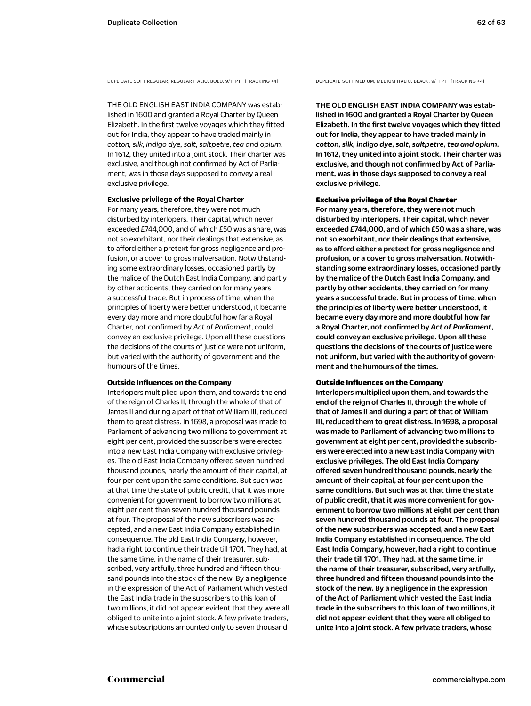DUPLICATE SOFT REGULAR, REGULAR ITALIC, BOLD, 9/11 PT [TRACKING +4] DUPLICATE SOFT MEDIUM, MEDIUM ITALIC, BLACK, 9/11 PT [TRACKING +4]

THE OLD ENGLISH EAST INDIA COMPANY was established in 1600 and granted a Royal Charter by Queen Elizabeth. In the first twelve voyages which they fitted out for India, they appear to have traded mainly in *cotton, silk, indigo dye, salt, saltpetre, tea and opium*. In 1612, they united into a joint stock. Their charter was exclusive, and though not confirmed by Act of Parliament, was in those days supposed to convey a real exclusive privilege.

### **Exclusive privilege of the Royal Charter**

For many years, therefore, they were not much disturbed by interlopers. Their capital, which never exceeded £744,000, and of which £50 was a share, was not so exorbitant, nor their dealings that extensive, as to afford either a pretext for gross negligence and profusion, or a cover to gross malversation. Notwithstanding some extraordinary losses, occasioned partly by the malice of the Dutch East India Company, and partly by other accidents, they carried on for many years a successful trade. But in process of time, when the principles of liberty were better understood, it became every day more and more doubtful how far a Royal Charter, not confirmed by *Act of Parliament*, could convey an exclusive privilege. Upon all these questions the decisions of the courts of justice were not uniform, but varied with the authority of government and the humours of the times.

### **Outside Influences on the Company**

Interlopers multiplied upon them, and towards the end of the reign of Charles II, through the whole of that of James II and during a part of that of William III, reduced them to great distress. In 1698, a proposal was made to Parliament of advancing two millions to government at eight per cent, provided the subscribers were erected into a new East India Company with exclusive privileges. The old East India Company offered seven hundred thousand pounds, nearly the amount of their capital, at four per cent upon the same conditions. But such was at that time the state of public credit, that it was more convenient for government to borrow two millions at eight per cent than seven hundred thousand pounds at four. The proposal of the new subscribers was accepted, and a new East India Company established in consequence. The old East India Company, however, had a right to continue their trade till 1701. They had, at the same time, in the name of their treasurer, subscribed, very artfully, three hundred and fifteen thousand pounds into the stock of the new. By a negligence in the expression of the Act of Parliament which vested the East India trade in the subscribers to this loan of two millions, it did not appear evident that they were all obliged to unite into a joint stock. A few private traders, whose subscriptions amounted only to seven thousand

THE OLD ENGLISH EAST INDIA COMPANY was established in 1600 and granted a Royal Charter by Queen Elizabeth. In the first twelve voyages which they fitted out for India, they appear to have traded mainly in *cotton, silk, indigo dye, salt, saltpetre, tea and opium*. In 1612, they united into a joint stock. Their charter was exclusive, and though not confirmed by Act of Parliament, was in those days supposed to convey a real exclusive privilege.

### Exclusive privilege of the Royal Charter

For many years, therefore, they were not much disturbed by interlopers. Their capital, which never exceeded £744,000, and of which £50 was a share, was not so exorbitant, nor their dealings that extensive, as to afford either a pretext for gross negligence and profusion, or a cover to gross malversation. Notwithstanding some extraordinary losses, occasioned partly by the malice of the Dutch East India Company, and partly by other accidents, they carried on for many years a successful trade. But in process of time, when the principles of liberty were better understood, it became every day more and more doubtful how far a Royal Charter, not confirmed by *Act of Parliament*, could convey an exclusive privilege. Upon all these questions the decisions of the courts of justice were not uniform, but varied with the authority of government and the humours of the times.

### Outside Influences on the Company

Interlopers multiplied upon them, and towards the end of the reign of Charles II, through the whole of that of James II and during a part of that of William III, reduced them to great distress. In 1698, a proposal was made to Parliament of advancing two millions to government at eight per cent, provided the subscribers were erected into a new East India Company with exclusive privileges. The old East India Company offered seven hundred thousand pounds, nearly the amount of their capital, at four per cent upon the same conditions. But such was at that time the state of public credit, that it was more convenient for government to borrow two millions at eight per cent than seven hundred thousand pounds at four. The proposal of the new subscribers was accepted, and a new East India Company established in consequence. The old East India Company, however, had a right to continue their trade till 1701. They had, at the same time, in the name of their treasurer, subscribed, very artfully, three hundred and fifteen thousand pounds into the stock of the new. By a negligence in the expression of the Act of Parliament which vested the East India trade in the subscribers to this loan of two millions, it did not appear evident that they were all obliged to unite into a joint stock. A few private traders, whose